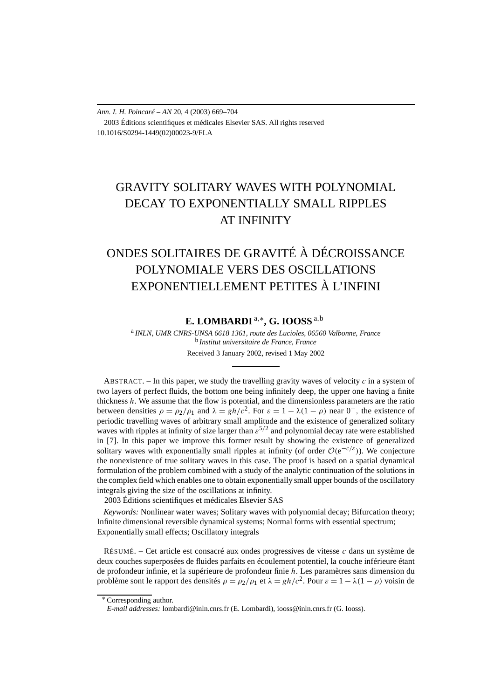*Ann. I. H. Poincaré – AN* 20, 4 (2003) 669–704 2003 Éditions scientifiques et médicales Elsevier SAS. All rights reserved 10.1016/S0294-1449(02)00023-9/FLA

# GRAVITY SOLITARY WAVES WITH POLYNOMIAL DECAY TO EXPONENTIALLY SMALL RIPPLES AT INFINITY

# ONDES SOLITAIRES DE GRAVITÉ À DÉCROISSANCE POLYNOMIALE VERS DES OSCILLATIONS EXPONENTIELLEMENT PETITES À L'INFINI

# **E. LOMBARDI** <sup>a</sup>*,*∗**, G. IOOSS** <sup>a</sup>*,*<sup>b</sup>

<sup>a</sup> *INLN, UMR CNRS-UNSA 6618 1361, route des Lucioles, 06560 Valbonne, France* <sup>b</sup> *Institut universitaire de France, France* Received 3 January 2002, revised 1 May 2002

ABSTRACT.  $-$  In this paper, we study the travelling gravity waves of velocity  $c$  in a system of two layers of perfect fluids, the bottom one being infinitely deep, the upper one having a finite thickness *h*. We assume that the flow is potential, and the dimensionless parameters are the ratio between densities  $\rho = \rho_2/\rho_1$  and  $\lambda = gh/c^2$ . For  $\varepsilon = 1 - \lambda(1 - \rho)$  near  $0^+$ , the existence of periodic travelling waves of arbitrary small amplitude and the existence of generalized solitary waves with ripples at infinity of size larger than  $\varepsilon^{5/2}$  and polynomial decay rate were established in [7]. In this paper we improve this former result by showing the existence of generalized solitary waves with exponentially small ripples at infinity (of order  $\mathcal{O}(e^{-c/\varepsilon})$ ). We conjecture the nonexistence of true solitary waves in this case. The proof is based on a spatial dynamical formulation of the problem combined with a study of the analytic continuation of the solutions in the complex field which enables one to obtain exponentially small upper bounds of the oscillatory integrals giving the size of the oscillations at infinity.

2003 Éditions scientifiques et médicales Elsevier SAS

*Keywords:* Nonlinear water waves; Solitary waves with polynomial decay; Bifurcation theory; Infinite dimensional reversible dynamical systems; Normal forms with essential spectrum; Exponentially small effects; Oscillatory integrals

RÉSUMÉ. – Cet article est consacré aux ondes progressives de vitesse *c* dans un système de deux couches superposées de fluides parfaits en écoulement potentiel, la couche inférieure étant de profondeur infinie, et la supérieure de profondeur finie *h*. Les paramètres sans dimension du problème sont le rapport des densités  $\rho = \rho_2/\rho_1$  et  $\lambda = gh/c^2$ . Pour  $\varepsilon = 1 - \lambda(1 - \rho)$  voisin de

<sup>∗</sup> Corresponding author.

*E-mail addresses:* lombardi@inln.cnrs.fr (E. Lombardi), iooss@inln.cnrs.fr (G. Iooss).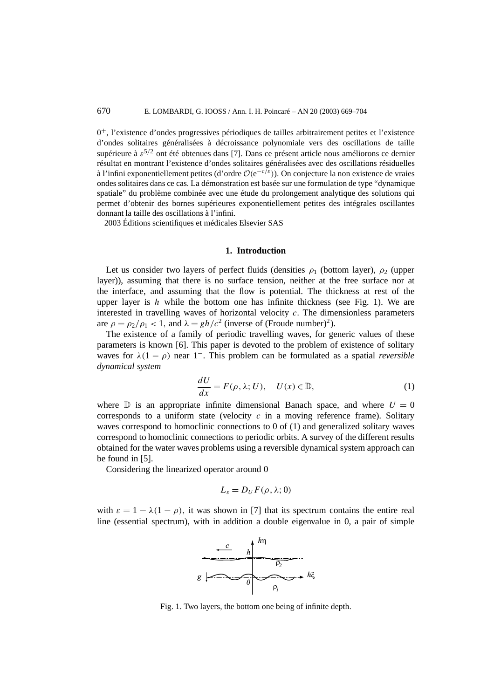$0^+$ , l'existence d'ondes progressives périodiques de tailles arbitrairement petites et l'existence d'ondes solitaires généralisées à décroissance polynomiale vers des oscillations de taille supérieure à *ε*5*/*<sup>2</sup> ont été obtenues dans [7]. Dans ce présent article nous améliorons ce dernier résultat en montrant l'existence d'ondes solitaires généralisées avec des oscillations résiduelles à l'infini exponentiellement petites (d'ordre <sup>O</sup>*(*e<sup>−</sup>*c/ε)*). On conjecture la non existence de vraies ondes solitaires dans ce cas. La démonstration est basée sur une formulation de type "dynamique spatiale" du problème combinée avec une étude du prolongement analytique des solutions qui permet d'obtenir des bornes supérieures exponentiellement petites des intégrales oscillantes donnant la taille des oscillations à l'infini.

2003 Éditions scientifiques et médicales Elsevier SAS

# **1. Introduction**

Let us consider two layers of perfect fluids (densities  $\rho_1$  (bottom layer),  $\rho_2$  (upper layer)), assuming that there is no surface tension, neither at the free surface nor at the interface, and assuming that the flow is potential. The thickness at rest of the upper layer is  $h$  while the bottom one has infinite thickness (see Fig. 1). We are interested in travelling waves of horizontal velocity *c.* The dimensionless parameters are  $\rho = \rho_2/\rho_1 < 1$ , and  $\lambda = gh/c^2$  (inverse of (Froude number)<sup>2</sup>).

The existence of a family of periodic travelling waves, for generic values of these parameters is known [6]. This paper is devoted to the problem of existence of solitary waves for  $\lambda(1-\rho)$  near 1<sup>-</sup>. This problem can be formulated as a spatial *reversible dynamical system*

$$
\frac{dU}{dx} = F(\rho, \lambda; U), \quad U(x) \in \mathbb{D}, \tag{1}
$$

where  $\mathbb D$  is an appropriate infinite dimensional Banach space, and where  $U = 0$ corresponds to a uniform state (velocity  $c$  in a moving reference frame). Solitary waves correspond to homoclinic connections to 0 of (1) and generalized solitary waves correspond to homoclinic connections to periodic orbits. A survey of the different results obtained for the water waves problems using a reversible dynamical system approach can be found in [5].

Considering the linearized operator around 0

$$
L_{\varepsilon}=D_{U}F(\rho,\lambda;0)
$$

with  $\varepsilon = 1 - \lambda(1 - \rho)$ , it was shown in [7] that its spectrum contains the entire real line (essential spectrum), with in addition a double eigenvalue in 0, a pair of simple



Fig. 1. Two layers, the bottom one being of infinite depth.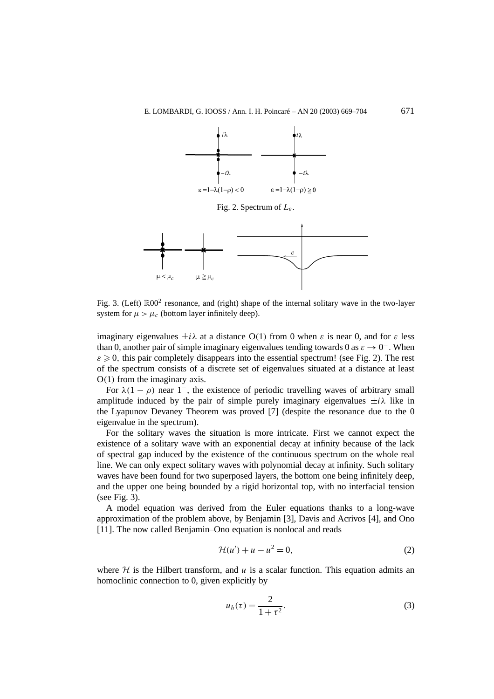

Fig. 2. Spectrum of *Lε* .



Fig. 3. (Left)  $\mathbb{R}00^2$  resonance, and (right) shape of the internal solitary wave in the two-layer system for  $\mu > \mu_c$  (bottom layer infinitely deep).

imaginary eigenvalues  $\pm i\lambda$  at a distance O(1) from 0 when  $\varepsilon$  is near 0, and for  $\varepsilon$  less than 0, another pair of simple imaginary eigenvalues tending towards 0 as  $\varepsilon \to 0^-$ . When  $\varepsilon \geqslant 0$ , this pair completely disappears into the essential spectrum! (see Fig. 2). The rest of the spectrum consists of a discrete set of eigenvalues situated at a distance at least O*(*1*)* from the imaginary axis.

For  $\lambda(1-\rho)$  near 1<sup>-</sup>, the existence of periodic travelling waves of arbitrary small amplitude induced by the pair of simple purely imaginary eigenvalues  $\pm i\lambda$  like in the Lyapunov Devaney Theorem was proved [7] (despite the resonance due to the 0 eigenvalue in the spectrum).

For the solitary waves the situation is more intricate. First we cannot expect the existence of a solitary wave with an exponential decay at infinity because of the lack of spectral gap induced by the existence of the continuous spectrum on the whole real line. We can only expect solitary waves with polynomial decay at infinity. Such solitary waves have been found for two superposed layers, the bottom one being infinitely deep, and the upper one being bounded by a rigid horizontal top, with no interfacial tension (see Fig. 3).

A model equation was derived from the Euler equations thanks to a long-wave approximation of the problem above, by Benjamin [3], Davis and Acrivos [4], and Ono [11]. The now called Benjamin–Ono equation is nonlocal and reads

$$
\mathcal{H}(u') + u - u^2 = 0,\tag{2}
$$

where  $H$  is the Hilbert transform, and  $u$  is a scalar function. This equation admits an homoclinic connection to 0, given explicitly by

$$
u_h(\tau) = \frac{2}{1 + \tau^2}.\tag{3}
$$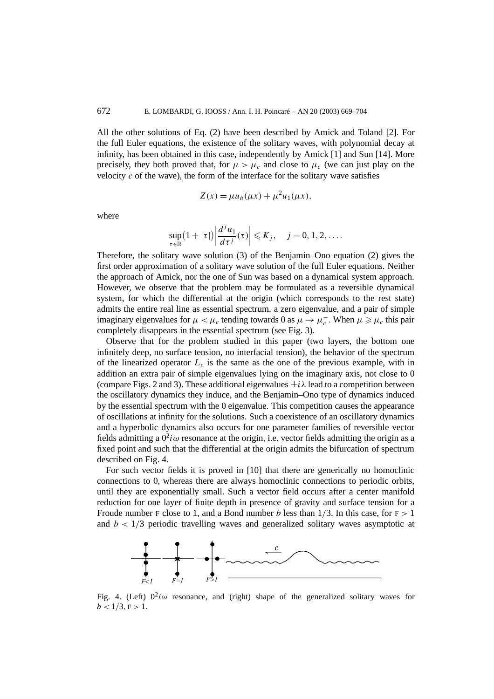All the other solutions of Eq. (2) have been described by Amick and Toland [2]. For the full Euler equations, the existence of the solitary waves, with polynomial decay at infinity, has been obtained in this case, independently by Amick [1] and Sun [14]. More precisely, they both proved that, for  $\mu > \mu_c$  and close to  $\mu_c$  (we can just play on the velocity  $c$  of the wave), the form of the interface for the solitary wave satisfies

$$
Z(x) = \mu u_h(\mu x) + \mu^2 u_1(\mu x),
$$

where

$$
\sup_{\tau \in \mathbb{R}} (1 + |\tau|) \left| \frac{d^j u_1}{d\tau^j}(\tau) \right| \leqslant K_j, \quad j = 0, 1, 2, \dots.
$$

Therefore, the solitary wave solution (3) of the Benjamin–Ono equation (2) gives the first order approximation of a solitary wave solution of the full Euler equations. Neither the approach of Amick, nor the one of Sun was based on a dynamical system approach. However, we observe that the problem may be formulated as a reversible dynamical system, for which the differential at the origin (which corresponds to the rest state) admits the entire real line as essential spectrum, a zero eigenvalue, and a pair of simple imaginary eigenvalues for  $\mu < \mu_c$  tending towards 0 as  $\mu \to \mu_c^-$ . When  $\mu \ge \mu_c$  this pair completely disappears in the essential spectrum (see Fig. 3).

Observe that for the problem studied in this paper (two layers, the bottom one infinitely deep, no surface tension, no interfacial tension), the behavior of the spectrum of the linearized operator  $L_{\varepsilon}$  is the same as the one of the previous example, with in addition an extra pair of simple eigenvalues lying on the imaginary axis, not close to 0 (compare Figs. 2 and 3). These additional eigenvalues  $\pm i\lambda$  lead to a competition between the oscillatory dynamics they induce, and the Benjamin–Ono type of dynamics induced by the essential spectrum with the 0 eigenvalue. This competition causes the appearance of oscillations at infinity for the solutions. Such a coexistence of an oscillatory dynamics and a hyperbolic dynamics also occurs for one parameter families of reversible vector fields admitting a  $0^2i\omega$  resonance at the origin, i.e. vector fields admitting the origin as a fixed point and such that the differential at the origin admits the bifurcation of spectrum described on Fig. 4.

For such vector fields it is proved in [10] that there are generically no homoclinic connections to 0, whereas there are always homoclinic connections to periodic orbits, until they are exponentially small. Such a vector field occurs after a center manifold reduction for one layer of finite depth in presence of gravity and surface tension for a Froude number F close to 1, and a Bond number *b* less than  $1/3$ . In this case, for  $F > 1$ and  $b < 1/3$  periodic travelling waves and generalized solitary waves asymptotic at



Fig. 4. (Left)  $0^2 i \omega$  resonance, and (right) shape of the generalized solitary waves for  $b < 1/3, F > 1.$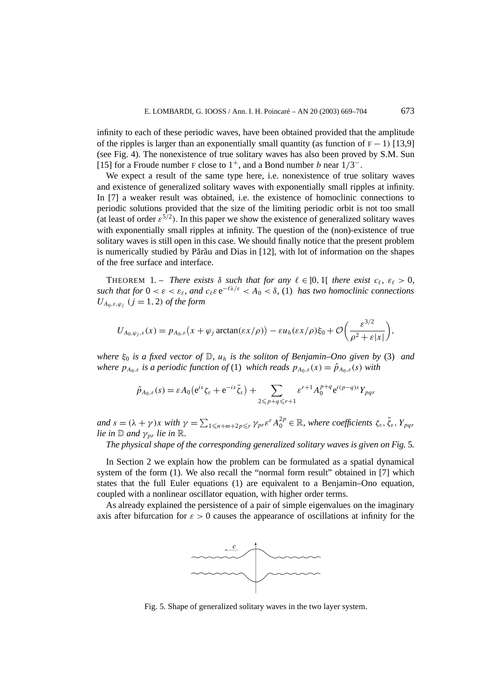infinity to each of these periodic waves, have been obtained provided that the amplitude of the ripples is larger than an exponentially small quantity (as function of  $F - 1$ ) [13,9] (see Fig. 4). The nonexistence of true solitary waves has also been proved by S.M. Sun [15] for a Froude number F close to  $1^+$ , and a Bond number *b* near  $1/3^-$ .

We expect a result of the same type here, i.e. nonexistence of true solitary waves and existence of generalized solitary waves with exponentially small ripples at infinity. In [7] a weaker result was obtained, i.e. the existence of homoclinic connections to periodic solutions provided that the size of the limiting periodic orbit is not too small (at least of order  $\varepsilon^{5/2}$ ). In this paper we show the existence of generalized solitary waves with exponentially small ripples at infinity. The question of the (non)-existence of true solitary waves is still open in this case. We should finally notice that the present problem is numerically studied by Părău and Dias in  $[12]$ , with lot of information on the shapes of the free surface and interface.

THEOREM 1. – *There exists*  $\delta$  *such that for any*  $\ell \in ]0,1[$  *there exist*  $c_{\ell}, \varepsilon_{\ell} > 0$ *, such that for*  $0 < \varepsilon < \varepsilon_{\ell}$ , and  $c_{\ell} \varepsilon e^{-\ell \lambda/\varepsilon} < A_0 < \delta$ , (1) has two homoclinic connections  $U_{A_0, \varepsilon, \varphi_i}$  ( $j = 1, 2$ ) *of the form* 

$$
U_{A_0,\varphi_j,\varepsilon}(x)=p_{A_0,\varepsilon}\big(x+\varphi_j\arctan(\varepsilon x/\rho)\big)-\varepsilon u_h(\varepsilon x/\rho)\xi_0+\mathcal{O}\bigg(\frac{\varepsilon^{3/2}}{\rho^2+\varepsilon|x|}\bigg),
$$

*where ξ*<sup>0</sup> *is a fixed vector of* D*, uh is the soliton of Benjamin–Ono given by* (3) *and where*  $p_{A_0,\varepsilon}$  *is a periodic function of* (1) *which reads*  $p_{A_0,\varepsilon}(x) = \hat{p}_{A_0,\varepsilon}(s)$  *with* 

$$
\hat{p}_{A_0,\varepsilon}(s) = \varepsilon A_0 (e^{is}\zeta_{\varepsilon} + e^{-is}\bar{\zeta}_{\varepsilon}) + \sum_{2 \leq p+q \leq r+1} \varepsilon^{r+1} A_0^{p+q} e^{i(p-q)s} Y_{pqr}
$$

 $and$   $s = (\lambda + \gamma)x$  with  $\gamma = \sum_{1 \leq n+m+2} \sum_{p \leq r} \gamma_{pr} \varepsilon^{r} A_0^{2p} \in \mathbb{R}$ , where coefficients  $\zeta_{\varepsilon}, \overline{\zeta}_{\varepsilon}, Y_{pqr}$ *lie in*  $\mathbb{D}$  *and*  $\gamma_{pr}$  *lie in*  $\mathbb{R}$ *.* 

*The physical shape of the corresponding generalized solitary waves is given on Fig.* 5*.*

In Section 2 we explain how the problem can be formulated as a spatial dynamical system of the form (1). We also recall the "normal form result" obtained in [7] which states that the full Euler equations (1) are equivalent to a Benjamin–Ono equation, coupled with a nonlinear oscillator equation, with higher order terms.

As already explained the persistence of a pair of simple eigenvalues on the imaginary axis after bifurcation for  $\varepsilon > 0$  causes the appearance of oscillations at infinity for the



Fig. 5. Shape of generalized solitary waves in the two layer system.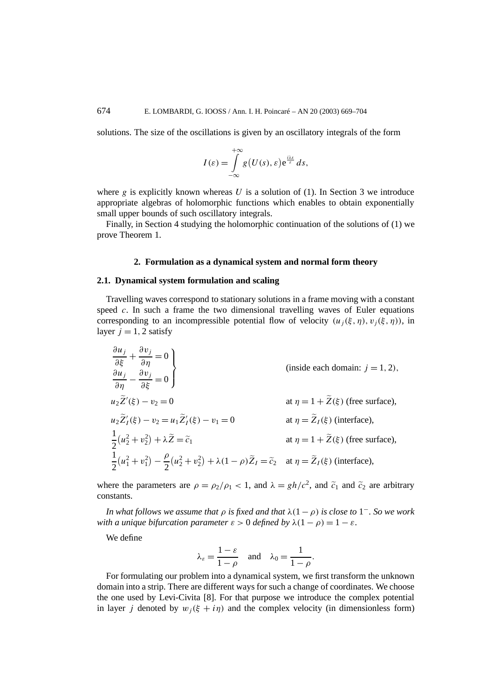solutions. The size of the oscillations is given by an oscillatory integrals of the form

$$
I(\varepsilon) = \int_{-\infty}^{+\infty} g(U(s), \varepsilon) e^{\frac{iks}{\varepsilon}} ds,
$$

where *g* is explicitly known whereas *U* is a solution of (1). In Section 3 we introduce appropriate algebras of holomorphic functions which enables to obtain exponentially small upper bounds of such oscillatory integrals.

Finally, in Section 4 studying the holomorphic continuation of the solutions of (1) we prove Theorem 1.

# **2. Formulation as a dynamical system and normal form theory**

## **2.1. Dynamical system formulation and scaling**

Travelling waves correspond to stationary solutions in a frame moving with a constant speed *c*. In such a frame the two dimensional travelling waves of Euler equations corresponding to an incompressible potential flow of velocity  $(u_i(\xi, \eta), v_i(\xi, \eta))$ , in layer  $j = 1, 2$  satisfy

$$
\frac{\partial u_j}{\partial \xi} + \frac{\partial v_j}{\partial \eta} = 0
$$
\n
$$
\frac{\partial u_j}{\partial \eta} - \frac{\partial v_j}{\partial \xi} = 0
$$
\n
$$
u_2 \tilde{Z}'(\xi) - v_2 = 0
$$
\n
$$
u_2 \tilde{Z}'(\xi) - v_2 = u_1 \tilde{Z}'_I(\xi) - v_1 = 0
$$
\n
$$
\frac{1}{2} (u_2^2 + v_2^2) + \lambda \tilde{Z} = \tilde{c}_1
$$
\n
$$
\frac{1}{2} (u_1^2 + v_1^2) - \frac{\rho}{2} (u_2^2 + v_2^2) + \lambda (1 - \rho) \tilde{Z}_I = \tilde{c}_2
$$
\nat  $\eta = \tilde{Z}_I(\xi)$  (there surface),

where the parameters are  $\rho = \frac{\rho_2}{\rho_1} < 1$ , and  $\lambda = \frac{gh}{c^2}$ , and  $\tilde{c}_1$  and  $\tilde{c}_2$  are arbitrary constants.

*In what follows we assume that*  $\rho$  *is fixed and that*  $\lambda(1-\rho)$  *is close to* 1<sup>-</sup>*. So we work with a unique bifurcation parameter*  $\varepsilon > 0$  *defined by*  $\lambda(1 - \rho) = 1 - \varepsilon$ .

We define

$$
\lambda_{\varepsilon} = \frac{1-\varepsilon}{1-\rho}
$$
 and  $\lambda_0 = \frac{1}{1-\rho}$ .

For formulating our problem into a dynamical system, we first transform the unknown domain into a strip. There are different ways for such a change of coordinates. We choose the one used by Levi-Civita [8]. For that purpose we introduce the complex potential in layer *j* denoted by  $w_i(\xi + i\eta)$  and the complex velocity (in dimensionless form)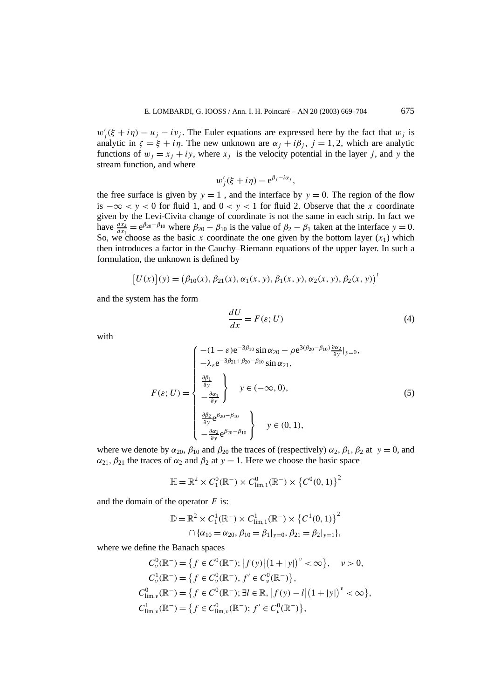$w'_{j}$  (ξ + *iη*) = *u<sub>j</sub>* − *iv<sub>j</sub>*. The Euler equations are expressed here by the fact that *w<sub>j</sub>* is analytic in  $\zeta = \xi + i\eta$ . The new unknown are  $\alpha_i + i\beta_i$ ,  $j = 1, 2$ , which are analytic functions of  $w_j = x_j + iy$ , where  $x_j$  is the velocity potential in the layer *j*, and *y* the stream function, and where

$$
w'_{j}(\xi + i\eta) = e^{\beta_{j} - i\alpha_{j}},
$$

the free surface is given by  $y = 1$ , and the interface by  $y = 0$ . The region of the flow is  $-\infty < y < 0$  for fluid 1, and  $0 < y < 1$  for fluid 2. Observe that the *x* coordinate given by the Levi-Civita change of coordinate is not the same in each strip. In fact we have  $\frac{dx_2}{dx_1} = e^{\beta_{20} - \beta_{10}}$  where  $\beta_{20} - \beta_{10}$  is the value of  $\beta_2 - \beta_1$  taken at the interface  $y = 0$ . So, we choose as the basic *x* coordinate the one given by the bottom layer  $(x_1)$  which then introduces a factor in the Cauchy–Riemann equations of the upper layer. In such a formulation, the unknown is defined by

$$
[U(x)](y) = (\beta_{10}(x), \beta_{21}(x), \alpha_1(x, y), \beta_1(x, y), \alpha_2(x, y), \beta_2(x, y))'
$$

and the system has the form

$$
\frac{dU}{dx} = F(\varepsilon; U) \tag{4}
$$

with

$$
F(\varepsilon; U) = \begin{cases}\n-(1 - \varepsilon)e^{-3\beta_{10}} \sin \alpha_{20} - \rho e^{3(\beta_{20} - \beta_{10})} \frac{\partial \alpha_2}{\partial y}|_{y=0}, \\
-\lambda_{\varepsilon}e^{-3\beta_{21} + \beta_{20} - \beta_{10}} \sin \alpha_{21}, \\
\frac{\partial \beta_1}{\partial y} \\
-\frac{\partial \alpha_1}{\partial y}\n\end{cases} y \in (-\infty, 0),
$$
\n(5)\n
$$
\frac{\partial \beta_2}{\partial y}e^{\beta_{20} - \beta_{10}} \qquad y \in (0, 1),
$$

where we denote by  $\alpha_{20}$ ,  $\beta_{10}$  and  $\beta_{20}$  the traces of (respectively)  $\alpha_2$ ,  $\beta_1$ ,  $\beta_2$  at  $y = 0$ , and  $\alpha_{21}, \beta_{21}$  the traces of  $\alpha_2$  and  $\beta_2$  at  $y = 1$ . Here we choose the basic space

$$
\mathbb{H} = \mathbb{R}^2 \times C_1^0(\mathbb{R}^-) \times C_{\lim,1}^0(\mathbb{R}^-) \times \left\{ C^0(0,1) \right\}^2
$$

and the domain of the operator *F* is:

$$
\mathbb{D} = \mathbb{R}^2 \times C_1^1(\mathbb{R}^-) \times C_{\text{lim},1}^1(\mathbb{R}^-) \times (C_1^1(0, 1))^2
$$
  

$$
\cap {\alpha_{10} = \alpha_{20}, \beta_{10} = \beta_1|_{y=0}, \beta_{21} = \beta_2|_{y=1}},
$$

where we define the Banach spaces

$$
C_{\nu}^{0}(\mathbb{R}^{-}) = \{ f \in C^{0}(\mathbb{R}^{-}); |f(y)| (1 + |y|)^{\nu} < \infty \}, \quad \nu > 0,
$$
  
\n
$$
C_{\nu}^{1}(\mathbb{R}^{-}) = \{ f \in C_{\nu}^{0}(\mathbb{R}^{-}), f' \in C_{\nu}^{0}(\mathbb{R}^{-}) \},
$$
  
\n
$$
C_{\lim,\nu}^{0}(\mathbb{R}^{-}) = \{ f \in C^{0}(\mathbb{R}^{-}); \exists l \in \mathbb{R}, |f(y) - l| (1 + |y|)^{\nu} < \infty \},
$$
  
\n
$$
C_{\lim,\nu}^{1}(\mathbb{R}^{-}) = \{ f \in C_{\lim,\nu}^{0}(\mathbb{R}^{-}); f' \in C_{\nu}^{0}(\mathbb{R}^{-}) \},
$$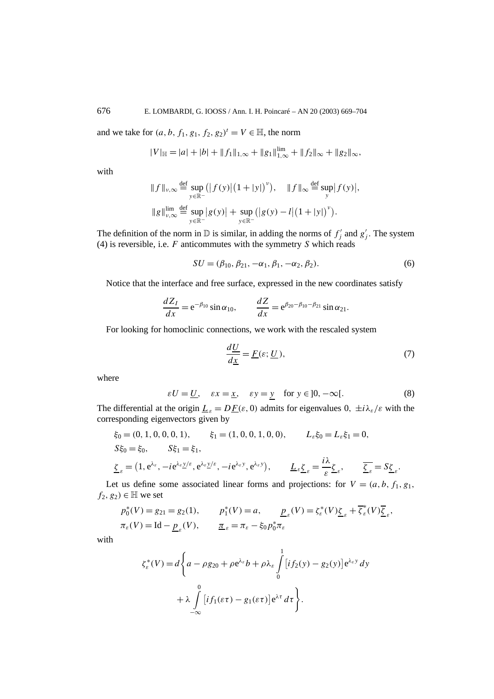and we take for  $(a, b, f_1, g_1, f_2, g_2)^t = V \in \mathbb{H}$ , the norm

$$
|V|_{\mathbb{H}} = |a| + |b| + \|f_1\|_{1,\infty} + \|g_1\|_{1,\infty}^{\lim} + \|f_2\|_{\infty} + \|g_2\|_{\infty},
$$

with

$$
||f||_{\nu,\infty} \stackrel{\text{def}}{=} \sup_{y \in \mathbb{R}^-} (|f(y)| (1+|y|)^{\nu}), \quad ||f||_{\infty} \stackrel{\text{def}}{=} \sup_{y} |f(y)|,
$$
  

$$
||g||_{\nu,\infty}^{\lim} \stackrel{\text{def}}{=} \sup_{y \in \mathbb{R}^-} |g(y)| + \sup_{y \in \mathbb{R}^-} (|g(y) - l| (1+|y|)^{\nu}).
$$

The definition of the norm in  $D$  is similar, in adding the norms of  $f'_j$  and  $g'_j$ . The system (4) is reversible, i.e. *F* anticommutes with the symmetry *S* which reads

$$
SU = (\beta_{10}, \beta_{21}, -\alpha_1, \beta_1, -\alpha_2, \beta_2). \tag{6}
$$

Notice that the interface and free surface, expressed in the new coordinates satisfy

$$
\frac{dZ_I}{dx} = e^{-\beta_{10}} \sin \alpha_{10}, \qquad \frac{dZ}{dx} = e^{\beta_{20} - \beta_{10} - \beta_{21}} \sin \alpha_{21}.
$$

For looking for homoclinic connections, we work with the rescaled system

$$
\frac{d\underline{U}}{d\underline{x}} = \underline{F}(\varepsilon; \underline{U}),\tag{7}
$$

*.*

where

$$
\varepsilon U = \underline{U}, \quad \varepsilon x = \underline{x}, \quad \varepsilon y = \underline{y} \quad \text{for } y \in ]0, -\infty[.
$$
 (8)

The differential at the origin  $\underline{L}_{\varepsilon} = D\underline{F}(\varepsilon, 0)$  admits for eigenvalues  $0, \pm i\lambda_{\varepsilon}/\varepsilon$  with the corresponding eigenvectors given by

$$
\xi_0 = (0, 1, 0, 0, 0, 1), \qquad \xi_1 = (1, 0, 0, 1, 0, 0), \qquad L_{\varepsilon} \xi_0 = L_{\varepsilon} \xi_1 = 0,
$$
  
\n
$$
S \xi_0 = \xi_0, \qquad S \xi_1 = \xi_1,
$$
  
\n
$$
\underline{\zeta}_{\varepsilon} = (1, e^{\lambda_{\varepsilon}}, -i e^{\lambda_{\varepsilon} y/\varepsilon}, e^{\lambda_{\varepsilon} y/\varepsilon}, -i e^{\lambda_{\varepsilon} y}, e^{\lambda_{\varepsilon} y}), \qquad \underline{L}_{\varepsilon} \underline{\zeta}_{\varepsilon} = \frac{i\lambda}{\varepsilon} \underline{\zeta}_{\varepsilon}, \qquad \overline{\underline{\zeta}_{\varepsilon}} = S \underline{\zeta}_{\varepsilon}
$$

Let us define some associated linear forms and projections: for  $V = (a, b, f_1, g_1,$  $f_2, g_2$ *)* ∈ H we set

$$
p_0^*(V) = g_{21} = g_2(1), \qquad p_1^*(V) = a, \qquad \underline{p}_{\varepsilon}(V) = \zeta_{\varepsilon}^*(V)\underline{\zeta}_{\varepsilon} + \overline{\zeta}_{\varepsilon}^*(V)\overline{\underline{\zeta}}_{\varepsilon},
$$
  

$$
\pi_{\varepsilon}(V) = \text{Id} - \underline{p}_{\varepsilon}(V), \qquad \underline{\pi}_{\varepsilon} = \pi_{\varepsilon} - \xi_0 p_0^* \pi_{\varepsilon}
$$

with

$$
\zeta_{\varepsilon}^{*}(V) = d \left\{ a - \rho g_{20} + \rho e^{\lambda_{\varepsilon}} b + \rho \lambda_{\varepsilon} \int_{0}^{1} [i f_{2}(y) - g_{2}(y)] e^{\lambda_{\varepsilon} y} dy + \lambda \int_{-\infty}^{0} [i f_{1}(\varepsilon \tau) - g_{1}(\varepsilon \tau)] e^{\lambda \tau} d\tau \right\}.
$$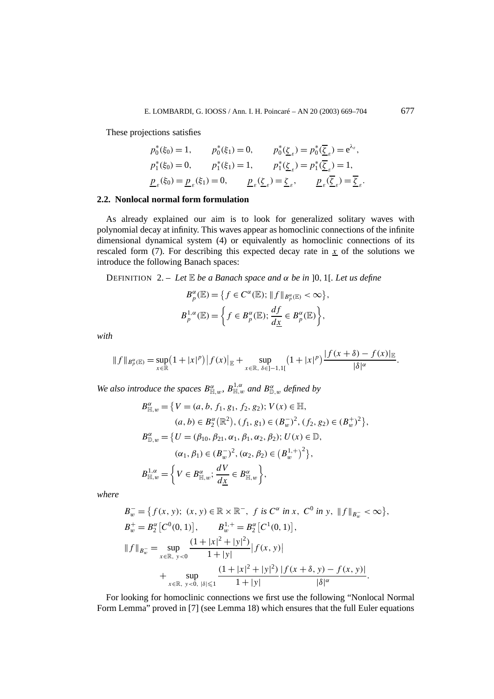These projections satisfies

$$
p_0^*(\xi_0) = 1, \t p_0^*(\xi_1) = 0, \t p_0^*(\underline{\zeta}_{\varepsilon}) = p_0^*(\overline{\underline{\zeta}}_{\varepsilon}) = e^{\lambda_{\varepsilon}},
$$
  
\n
$$
p_1^*(\xi_0) = 0, \t p_1^*(\xi_1) = 1, \t p_1^*(\underline{\zeta}_{\varepsilon}) = p_1^*(\overline{\underline{\zeta}}_{\varepsilon}) = 1,
$$
  
\n
$$
\underline{p}_{\varepsilon}(\xi_0) = \underline{p}_{\varepsilon}(\xi_1) = 0, \t \underline{p}_{\varepsilon}(\underline{\zeta}_{\varepsilon}) = \underline{\zeta}_{\varepsilon}, \t \underline{p}_{\varepsilon}(\overline{\underline{\zeta}}_{\varepsilon}) = \overline{\underline{\zeta}}_{\varepsilon}.
$$

## **2.2. Nonlocal normal form formulation**

As already explained our aim is to look for generalized solitary waves with polynomial decay at infinity. This waves appear as homoclinic connections of the infinite dimensional dynamical system (4) or equivalently as homoclinic connections of its rescaled form  $(7)$ . For describing this expected decay rate in *x* of the solutions we introduce the following Banach spaces:

DEFINITION 2. – *Let* E *be a Banach space and α be in* ]0*,* 1[*. Let us define*

$$
B_p^{\alpha}(\mathbb{E}) = \left\{ f \in C^{\alpha}(\mathbb{E}); \|f\|_{B_p^{\alpha}(\mathbb{E})} < \infty \right\},\
$$
  

$$
B_p^{1,\alpha}(\mathbb{E}) = \left\{ f \in B_p^{\alpha}(\mathbb{E}); \frac{df}{d\underline{x}} \in B_p^{\alpha}(\mathbb{E}) \right\},\
$$

*with*

$$
||f||_{B_p^{\alpha}(\mathbb{E})} = \sup_{x \in \mathbb{R}} (1 + |x|^p) |f(x)|_{\mathbb{E}} + \sup_{x \in \mathbb{R}, \delta \in ]-1,1[} (1 + |x|^p) \frac{|f(x + \delta) - f(x)|_{\mathbb{E}}}{|\delta|^{\alpha}}.
$$

*We also introduce the spaces*  $B_{\mathbb{H},w}^{\alpha}$ ,  $B_{\mathbb{H},w}^{1,\alpha}$  *and*  $B_{\mathbb{D},w}^{\alpha}$  *defined by* 

$$
B_{\mathbb{H},w}^{\alpha} = \left\{ V = (a, b, f_1, g_1, f_2, g_2); V(x) \in \mathbb{H}, \right\}(a, b) \in B_2^{\alpha}(\mathbb{R}^2), (f_1, g_1) \in (B_w^{-})^2, (f_2, g_2) \in (B_w^{+})^2 \right\},B_{\mathbb{D},w}^{\alpha} = \left\{ U = (\beta_{10}, \beta_{21}, \alpha_1, \beta_1, \alpha_2, \beta_2); U(x) \in \mathbb{D}, \right.(\alpha_1, \beta_1) \in (B_w^{-})^2, (\alpha_2, \beta_2) \in (B_w^{1,+})^2 \right\},B_{\mathbb{H},w}^{1,\alpha} = \left\{ V \in B_{\mathbb{H},w}^{\alpha}; \frac{dV}{dx} \in B_{\mathbb{H},w}^{\alpha} \right\},
$$

*where*

$$
B_w^- = \{ f(x, y); (x, y) \in \mathbb{R} \times \mathbb{R}^-, f \text{ is } C^{\alpha} \text{ in } x, C^0 \text{ in } y, \|f\|_{B_w^-} < \infty \},
$$
  
\n
$$
B_w^+ = B_2^{\alpha} [C^0(0, 1)], \qquad B_w^{1,+} = B_2^{\alpha} [C^1(0, 1)],
$$
  
\n
$$
||f||_{B_w^-} = \sup_{x \in \mathbb{R}, y < 0} \frac{(1 + |x|^2 + |y|^2)}{1 + |y|} |f(x, y)| + \sup_{x \in \mathbb{R}, y < 0, |\delta| \le 1} \frac{(1 + |x|^2 + |y|^2)}{1 + |y|} \frac{|f(x + \delta, y) - f(x, y)|}{|\delta|^{\alpha}}.
$$

For looking for homoclinic connections we first use the following "Nonlocal Normal Form Lemma" proved in [7] (see Lemma 18) which ensures that the full Euler equations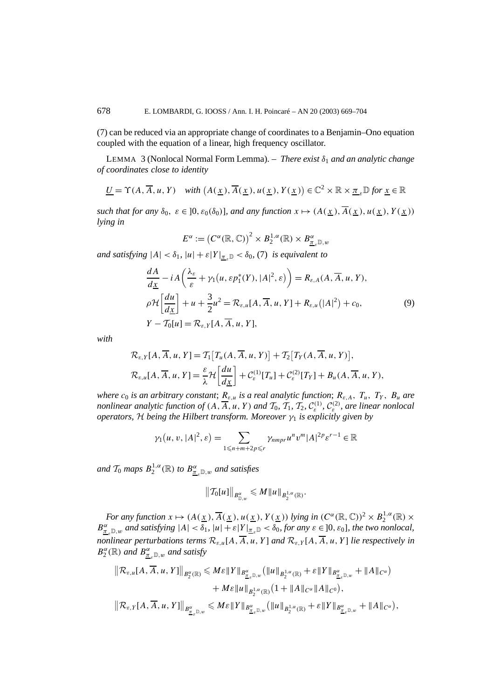(7) can be reduced via an appropriate change of coordinates to a Benjamin–Ono equation coupled with the equation of a linear, high frequency oscillator.

LEMMA 3 (Nonlocal Normal Form Lemma). – *There exist δ*<sup>1</sup> *and an analytic change of coordinates close to identity*

$$
\underline{U} = \Upsilon(A, \overline{A}, u, Y) \quad \text{with } \left(A(\underline{x}), \overline{A}(\underline{x}), u(\underline{x}), Y(\underline{x})\right) \in \mathbb{C}^2 \times \mathbb{R} \times \underline{\pi}_{\varepsilon} \mathbb{D} \text{ for } \underline{x} \in \mathbb{R}
$$

*such that for any*  $\delta_0$ ,  $\varepsilon \in [0, \varepsilon_0(\delta_0)]$ *, and any function*  $x \mapsto (A(x), \overline{A}(x), u(x), Y(x))$ *lying in*

$$
E^{\alpha} := (C^{\alpha}(\mathbb{R}, \mathbb{C}))^{2} \times B_{2}^{1, \alpha}(\mathbb{R}) \times B_{\underline{\pi}_{\varepsilon}}^{\alpha} \mathbb{D}, w
$$

*and satisfying*  $|A| < \delta_1$ ,  $|u| + \varepsilon |Y|_{\pi} \geq \delta_0$ , (7) *is equivalent to* 

$$
\frac{dA}{d\underline{x}} - iA\left(\frac{\lambda_{\varepsilon}}{\varepsilon} + \gamma_1(u, \varepsilon p_1^*(Y), |A|^2, \varepsilon)\right) = R_{\varepsilon, A}(A, \overline{A}, u, Y),
$$
  
\n
$$
\rho \mathcal{H}\left[\frac{du}{d\underline{x}}\right] + u + \frac{3}{2}u^2 = \mathcal{R}_{\varepsilon, u}[A, \overline{A}, u, Y] + R_{\varepsilon, u}(|A|^2) + c_0,
$$
  
\n
$$
Y - \mathcal{T}_0[u] = \mathcal{R}_{\varepsilon, Y}[A, \overline{A}, u, Y],
$$
\n(9)

*with*

$$
\mathcal{R}_{\varepsilon,Y}[A,\overline{A},u,Y] = \mathcal{T}_1[T_u(A,\overline{A},u,Y)] + \mathcal{T}_2[T_Y(A,\overline{A},u,Y)],
$$
  

$$
\mathcal{R}_{\varepsilon,u}[A,\overline{A},u,Y] = \frac{\varepsilon}{\lambda} \mathcal{H}\left[\frac{du}{dx}\right] + \mathcal{C}^{(1)}_{\varepsilon}[T_u] + \mathcal{C}^{(2)}_{\varepsilon}[T_y] + B_u(A,\overline{A},u,Y),
$$

*where*  $c_0$  *is an arbitrary constant*;  $R_{\varepsilon,u}$  *is a real analytic function*;  $R_{\varepsilon,A}$ ,  $T_u$ ,  $T_y$ ,  $B_u$  *are nonlinear analytic function of*  $(A, \overline{A}, u, Y)$  *and*  $\mathcal{T}_0$ ,  $\mathcal{T}_1$ ,  $\mathcal{T}_2$ ,  $\mathcal{C}_{\varepsilon}^{(1)}$ ,  $\mathcal{C}_{\varepsilon}^{(2)}$ , *are linear nonlocal operators,* H *being the Hilbert transform. Moreover*  $\gamma_1$  *is explicitly given by* 

$$
\gamma_1(u, v, |A|^2, \varepsilon) = \sum_{1 \leq n+m+2p \leq r} \gamma_{nmpr} u^n v^m |A|^{2p} \varepsilon^{r-1} \in \mathbb{R}
$$

*and*  $\mathcal{T}_0$  *maps*  $B_2^{1,\alpha}(\mathbb{R})$  *to*  $B_{\underline{\pi}_{\varepsilon}\mathbb{D},w}^{\alpha}$  *and satisfies* 

$$
\|\mathcal{T}_0[u]\|_{B^{\alpha}_{\mathbb{D},w}}\leqslant M\|u\|_{B^{1,\alpha}_2(\mathbb{R})}.
$$

*For any function*  $x \mapsto (A(\underline{x}), \overline{A}(\underline{x}), u(\underline{x}), Y(\underline{x}))$  *lying in*  $(C^{\alpha}(\mathbb{R}, \mathbb{C}))^2 \times B_2^{1, \alpha}(\mathbb{R}) \times$  $B_{\underline{\pi}_{\varepsilon}}^{\alpha} \mathbb{D}_{w}$  and satisfying  $|A| < \delta_1$ ,  $|u| + \varepsilon |Y|_{\underline{\pi}_{\varepsilon}} \mathbb{D} < \delta_0$ , for any  $\varepsilon \in ]0, \varepsilon_0]$ , the two nonlocal, *nonlinear perturbations terms*  $\mathcal{R}_{\varepsilon,u}[A,\overline{A},u,Y]$  *and*  $\mathcal{R}_{\varepsilon,Y}[A,\overline{A},u,Y]$  *lie respectively in*  $B_2^{\alpha}(\mathbb{R})$  *and*  $B_{\underline{\pi}_{\varepsilon}\mathbb{D},w}^{\alpha}$  *and satisfy* 

$$
\|\mathcal{R}_{\varepsilon,u}[A,\overline{A},u,Y]\|_{B_2^{\alpha}(\mathbb{R})} \leqslant M\varepsilon\|Y\|_{B_{\underline{\pi}_{\varepsilon}}^{\alpha}(\mathbb{D},w)}\left(\|u\|_{B_2^{1,\alpha}(\mathbb{R})}+\varepsilon\|Y\|_{B_{\underline{\pi}_{\varepsilon}}^{\alpha}(\mathbb{D},w)}+ \|A\|_{C^{\alpha}}\right) +M\varepsilon\|u\|_{B_2^{1,\alpha}(\mathbb{R})}\left(1+\|A\|_{C^{\alpha}}\|A\|_{C^0}\right),\|\mathcal{R}_{\varepsilon,Y}[A,\overline{A},u,Y]\|_{B_{\underline{\pi}_{\varepsilon}}^{\alpha}(\mathbb{D},w)}\leqslant M\varepsilon\|Y\|_{B_{\underline{\pi}_{\varepsilon}}^{\alpha}(\mathbb{D},w)}\left(\|u\|_{B_2^{1,\alpha}(\mathbb{R})}+\varepsilon\|Y\|_{B_{\underline{\pi}_{\varepsilon}}^{\alpha}(\mathbb{D},w}}+\|A\|_{C^{\alpha}}\right),
$$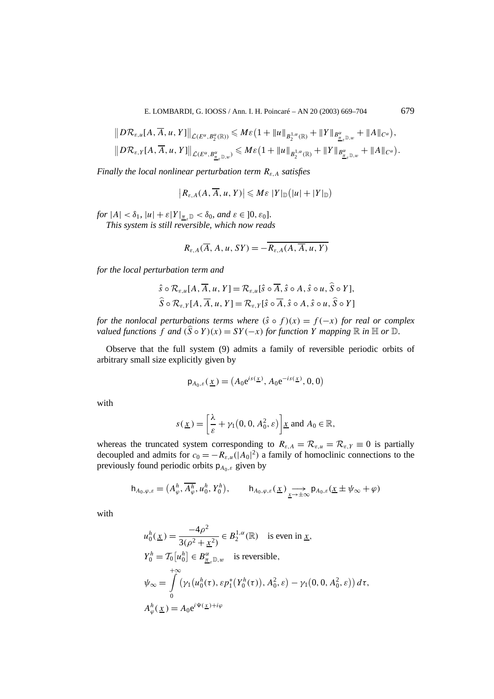$$
||D\mathcal{R}_{\varepsilon,u}[A,\overline{A},u,Y]||_{\mathcal{L}(E^{\alpha},B^{\alpha}_{2}(\mathbb{R}))} \leqslant M\varepsilon\big(1+\|u\|_{B^{1,\alpha}_{2}(\mathbb{R})}+\|Y\|_{B^{\alpha}_{\underline{x},\mathbb{D},w}}+\|A\|_{C^{\alpha}}\big),
$$
  

$$
||D\mathcal{R}_{\varepsilon,Y}[A,\overline{A},u,Y]||_{\mathcal{L}(E^{\alpha},B^{\alpha}_{\underline{x},\mathbb{D},w})} \leqslant M\varepsilon\big(1+\|u\|_{B^{1,\alpha}_{2}(\mathbb{R})}+\|Y\|_{B^{\alpha}_{\underline{x},\mathbb{D},w}}+\|A\|_{C^{\alpha}}\big).
$$

*Finally the local nonlinear perturbation term Rε,A satisfies*

$$
|R_{\varepsilon,A}(A,\overline{A},u,Y)|\leqslant M\varepsilon\,|Y|_\mathbb{D}\big(|u|+|Y|_\mathbb{D}\big)
$$

*for*  $|A| < \delta_1$ ,  $|u| + \varepsilon |Y|_{\pi} \ge \delta_0$ , and  $\varepsilon \in ]0, \varepsilon_0]$ . *This system is still reversible, which now reads*

$$
R_{\varepsilon,A}(\overline{A},A,u,SY) = -\overline{R_{\varepsilon,A}(A,\overline{A},u,Y)}
$$

*for the local perturbation term and*

$$
\hat{s} \circ \mathcal{R}_{\varepsilon,u}[A, \overline{A}, u, Y] = \mathcal{R}_{\varepsilon,u}[\hat{s} \circ \overline{A}, \hat{s} \circ A, \hat{s} \circ u, \hat{S} \circ Y],
$$
  

$$
\hat{S} \circ \mathcal{R}_{\varepsilon,Y}[A, \overline{A}, u, Y] = \mathcal{R}_{\varepsilon,Y}[\hat{s} \circ \overline{A}, \hat{s} \circ A, \hat{s} \circ u, \hat{S} \circ Y]
$$

*for the nonlocal perturbations terms where*  $(\hat{s} \circ f)(x) = f(-x)$  *for real or complex valued functions*  $f$  *and*  $(\hat{S} \circ Y)(x) = SY(-x)$  *for function*  $\hat{Y}$  *mapping*  $\mathbb{R}$  *in*  $\mathbb{H}$  *or*  $\mathbb{D}$ *.* 

Observe that the full system (9) admits a family of reversible periodic orbits of arbitrary small size explicitly given by

$$
\mathsf{p}_{A_0,\varepsilon}(\underline{x}) = \left(A_0 e^{is(\underline{x})}, A_0 e^{-is(\underline{x})}, 0, 0\right)
$$

with

$$
s(\underline{x}) = \left[\frac{\lambda}{\varepsilon} + \gamma_1(0, 0, A_0^2, \varepsilon)\right] \underline{x} \text{ and } A_0 \in \mathbb{R},
$$

whereas the truncated system corresponding to  $R_{\varepsilon,A} = \mathcal{R}_{\varepsilon,u} = \mathcal{R}_{\varepsilon,Y} \equiv 0$  is partially decoupled and admits for  $c_0 = -R_{\varepsilon,\mu}(|A_0|^2)$  a family of homoclinic connections to the previously found periodic orbits p*A*0*,ε* given by

$$
\mathsf{h}_{A_0,\varphi,\varepsilon} = (A_{\varphi}^h, \overline{A_{\varphi}^h}, u_0^h, Y_0^h), \qquad \mathsf{h}_{A_0,\varphi,\varepsilon}(\underline{x}) \underset{\underline{x} \to \pm \infty}{\longrightarrow} \mathsf{p}_{A_0,\varepsilon}(\underline{x} \pm \psi_{\infty} + \varphi)
$$

with

$$
u_0^h(\underline{x}) = \frac{-4\rho^2}{3(\rho^2 + \underline{x}^2)} \in B_2^{1,\alpha}(\mathbb{R}) \text{ is even in } \underline{x},
$$
  
\n
$$
Y_0^h = T_0[u_0^h] \in B_{\underline{\pi}_\varepsilon\mathbb{D},w}^\alpha \text{ is reversible},
$$
  
\n
$$
\psi_\infty = \int_0^{+\infty} (\gamma_1(u_0^h(\tau), \varepsilon p_1^*(Y_0^h(\tau)), A_0^2, \varepsilon) - \gamma_1(0, 0, A_0^2, \varepsilon)) d\tau,
$$
  
\n
$$
A_\varphi^h(\underline{x}) = A_0 e^{i\Psi(\underline{x}) + i\varphi}
$$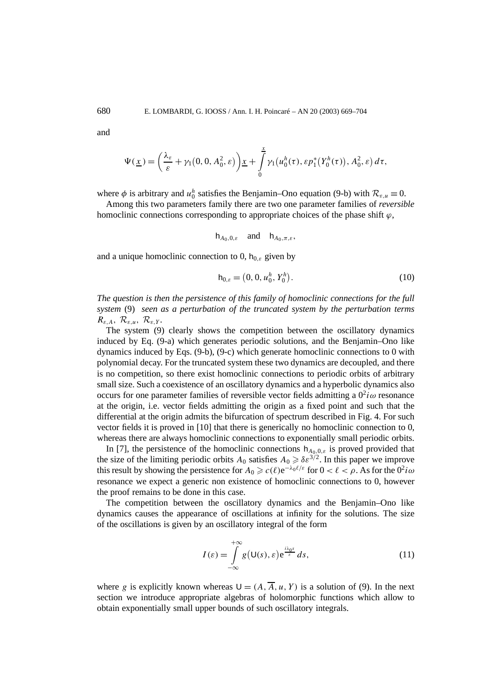and

$$
\Psi(\underline{x}) = \left(\frac{\lambda_{\varepsilon}}{\varepsilon} + \gamma_1(0, 0, A_0^2, \varepsilon)\right) \underline{x} + \int_0^{\underline{x}} \gamma_1\big(u_0^h(\tau), \varepsilon p_1^*\big(Y_0^h(\tau)\big), A_0^2, \varepsilon\big) d\tau,
$$

where  $\phi$  is arbitrary and  $u_0^h$  satisfies the Benjamin–Ono equation (9-b) with  $\mathcal{R}_{\varepsilon,u} \equiv 0$ .

Among this two parameters family there are two one parameter families of *reversible* homoclinic connections corresponding to appropriate choices of the phase shift  $\varphi$ ,

$$
\mathsf{h}_{A_0,0,\varepsilon} \quad \text{and} \quad \mathsf{h}_{A_0,\pi,\varepsilon},
$$

and a unique homoclinic connection to 0,  $h_{0,\varepsilon}$  given by

$$
\mathsf{h}_{0,\varepsilon} = (0,0,u_0^h,Y_0^h). \tag{10}
$$

*The question is then the persistence of this family of homoclinic connections for the full system* (9) *seen as a perturbation of the truncated system by the perturbation terms Rε,A,* R*ε,u,* R*ε,Y .*

The system (9) clearly shows the competition between the oscillatory dynamics induced by Eq. (9-a) which generates periodic solutions, and the Benjamin–Ono like dynamics induced by Eqs. (9-b), (9-c) which generate homoclinic connections to 0 with polynomial decay. For the truncated system these two dynamics are decoupled, and there is no competition, so there exist homoclinic connections to periodic orbits of arbitrary small size. Such a coexistence of an oscillatory dynamics and a hyperbolic dynamics also occurs for one parameter families of reversible vector fields admitting a  $0^2i\omega$  resonance at the origin, i.e. vector fields admitting the origin as a fixed point and such that the differential at the origin admits the bifurcation of spectrum described in Fig. 4. For such vector fields it is proved in [10] that there is generically no homoclinic connection to 0, whereas there are always homoclinic connections to exponentially small periodic orbits.

In [7], the persistence of the homoclinic connections  $h_{A_0,0,\varepsilon}$  is proved provided that the size of the limiting periodic orbits  $A_0$  satisfies  $A_0 \geq \delta \varepsilon^{3/2}$ . In this paper we improve this result by showing the persistence for  $A_0 \ge c(\ell) e^{-\lambda_0 \ell/\epsilon}$  for  $0 < \ell < \rho$ . As for the  $0^2 i \omega$ resonance we expect a generic non existence of homoclinic connections to 0, however the proof remains to be done in this case.

The competition between the oscillatory dynamics and the Benjamin–Ono like dynamics causes the appearance of oscillations at infinity for the solutions. The size of the oscillations is given by an oscillatory integral of the form

$$
I(\varepsilon) = \int_{-\infty}^{+\infty} g\left(\mathsf{U}(s), \varepsilon\right) e^{\frac{i\lambda_0 s}{\varepsilon}} ds, \tag{11}
$$

where *g* is explicitly known whereas  $U = (A, \overline{A}, u, Y)$  is a solution of (9). In the next section we introduce appropriate algebras of holomorphic functions which allow to obtain exponentially small upper bounds of such oscillatory integrals.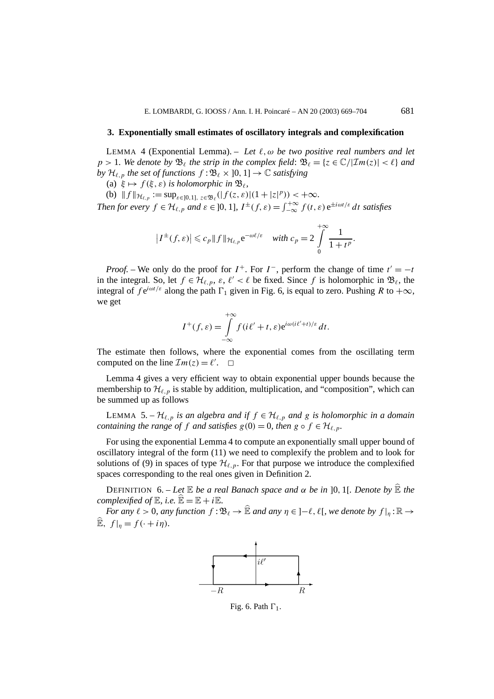#### **3. Exponentially small estimates of oscillatory integrals and complexification**

LEMMA 4 (Exponential Lemma). – Let  $\ell$ ,  $\omega$  be two positive real numbers and let  $p > 1$ *. We denote by*  $\mathfrak{B}_{\ell}$  *the strip in the complex field:*  $\mathfrak{B}_{\ell} = \{z \in \mathbb{C} / |\mathcal{I}m(z)| < \ell \}$  *and by*  $\mathcal{H}_{\ell,p}$  *the set of functions*  $f : \mathfrak{B}_{\ell} \times ]0,1] \rightarrow \mathbb{C}$  *satisfying* 

(a)  $\xi \mapsto f(\xi, \varepsilon)$  *is holomorphic in*  $\mathfrak{B}_{\ell}$ ,

(b)  $|| f ||_{\mathcal{H}_{\ell, p}} := \sup_{\varepsilon \in [0, 1], \, z \in \mathfrak{B}_{\ell}} (|f(z, \varepsilon)| (1 + |z|^p)) < +\infty.$ *Then for every*  $f \in H_{\ell,p}$  *and*  $\varepsilon \in ]0,1]$ ,  $I^{\pm}(f,\varepsilon) = \int_{-\infty}^{+\infty} f(t,\varepsilon) e^{\pm i\omega t/\varepsilon} dt$  satisfies

$$
\left|I^{\pm}(f,\varepsilon)\right| \leqslant c_p \left\|f\right\|_{\mathcal{H}_{\ell,p}} e^{-\omega\ell/\varepsilon} \quad \text{with } c_p = 2 \int\limits_{0}^{+\infty} \frac{1}{1+t^p}.
$$

*Proof.* – We only do the proof for  $I^+$ . For  $I^-$ , perform the change of time  $t' = -t$ in the integral. So, let  $f \in \mathcal{H}_{\ell,p}$ ,  $\varepsilon, \ell' < \ell$  be fixed. Since f is holomorphic in  $\mathfrak{B}_{\ell}$ , the integral of  $f e^{i\omega t/\varepsilon}$  along the path  $\Gamma_1$  given in Fig. 6, is equal to zero. Pushing *R* to  $+\infty$ , we get

$$
I^+(f,\varepsilon) = \int_{-\infty}^{+\infty} f(i\ell' + t,\varepsilon) e^{i\omega(i\ell' + t)/\varepsilon} dt.
$$

The estimate then follows, where the exponential comes from the oscillating term computed on the line  $\mathcal{I}m(z) = \ell'$ .  $\Box$ 

Lemma 4 gives a very efficient way to obtain exponential upper bounds because the membership to  $\mathcal{H}_{\ell,p}$  is stable by addition, multiplication, and "composition", which can be summed up as follows

LEMMA 5. –  $\mathcal{H}_{\ell,p}$  *is an algebra and if*  $f \in \mathcal{H}_{\ell,p}$  *and g is holomorphic in a domain containing the range of f and satisfies*  $g(0) = 0$ *, then*  $g \circ f \in \mathcal{H}_{\ell,p}$ *.* 

For using the exponential Lemma 4 to compute an exponentially small upper bound of oscillatory integral of the form (11) we need to complexify the problem and to look for solutions of (9) in spaces of type  $\mathcal{H}_{\ell,p}$ . For that purpose we introduce the complexified spaces corresponding to the real ones given in Definition 2.

DEFINITION 6. – *Let* E *be a real Banach space and α be in* ]0*,* 1[*. Denote by* E *the complexified of*  $\mathbb{E}$ *, i.e.*  $\mathbb{E} = \mathbb{E} + i\mathbb{E}$ *.* 

*For any*  $\ell > 0$ *, any* function  $f : \mathfrak{B}_{\ell} \to \widehat{\mathbb{E}}$  *and any*  $\eta \in ]-\ell, \ell[$ *, we denote by*  $f|_{\eta} : \mathbb{R} \to$  $\widehat{\mathbb{E}}$ ,  $f|_{\eta} = f(\cdot + i\eta)$ *.* 



Fig. 6. Path  $\Gamma_1$ .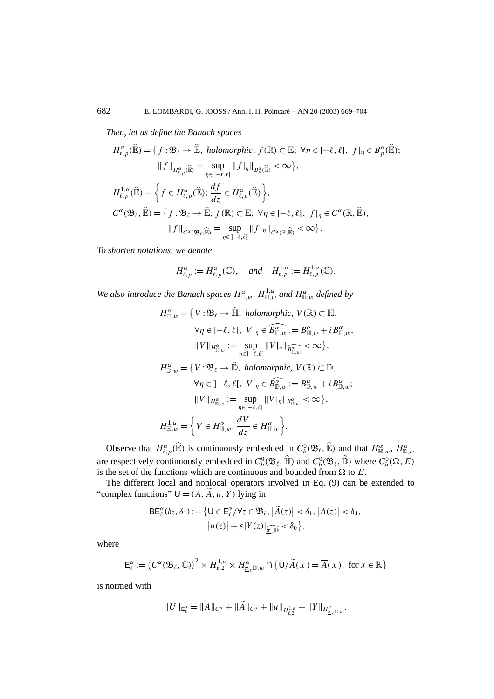*Then, let us define the Banach spaces*

$$
H_{\ell,p}^{\alpha}(\widehat{\mathbb{E}}) = \left\{ f : \mathfrak{B}_{\ell} \to \widehat{\mathbb{E}}, \text{ holomorphic}; f(\mathbb{R}) \subset \mathbb{E}; \forall \eta \in ]-\ell, \ell[, f|_{\eta} \in B_{p}^{\alpha}(\widehat{\mathbb{E}});
$$
  

$$
\|f\|_{H_{\ell,p}^{\alpha}(\widehat{\mathbb{E}})} = \sup_{\eta \in ]-\ell, \ell[} \|f|_{\eta}\|_{B_{p}^{\alpha}(\widehat{\mathbb{E}})} < \infty \right\},
$$
  

$$
H_{\ell,p}^{1,\alpha}(\widehat{\mathbb{E}}) = \left\{ f \in H_{\ell,p}^{\alpha}(\widehat{\mathbb{E}}); \frac{df}{dz} \in H_{\ell,p}^{\alpha}(\widehat{\mathbb{E}}) \right\},
$$
  

$$
C^{\alpha}(\mathfrak{B}_{\ell}, \widehat{\mathbb{E}}) = \left\{ f : \mathfrak{B}_{\ell} \to \widehat{\mathbb{E}}; f(\mathbb{R}) \subset \mathbb{E}; \forall \eta \in ]-\ell, \ell[, f|_{\eta} \in C^{\alpha}(\mathbb{R}, \widehat{\mathbb{E}});
$$
  

$$
\|f\|_{C^{\alpha}(\mathfrak{B}_{\ell}, \widehat{\mathbb{E}})} = \sup_{\eta \in ]-\ell, \ell[} \|f|_{\eta}\|_{C^{\alpha}(\mathbb{R}, \widehat{\mathbb{E}})} < \infty \right\}.
$$

*To shorten notations, we denote*

$$
H_{\ell,p}^{\alpha} := H_{\ell,p}^{\alpha}(\mathbb{C}), \quad \text{and} \quad H_{\ell,p}^{1,\alpha} := H_{\ell,p}^{1,\alpha}(\mathbb{C}).
$$

*We also introduce the Banach spaces*  $H_{\mathbb{H},w}^{\alpha}$ ,  $H_{\mathbb{H},w}^{1,\alpha}$  *and*  $H_{\mathbb{D},w}^{\alpha}$  *defined by* 

$$
H_{\mathbb{H},w}^{\alpha} = \{ V : \mathfrak{B}_{\ell} \to \widehat{\mathbb{H}}, \text{ holomorphic, } V(\mathbb{R}) \subset \mathbb{H},
$$
  
\n
$$
\forall \eta \in ]-\ell, \ell[, \text{ } V|_{\eta} \in \widehat{B^{\alpha}_{\mathbb{H},w}} := B^{\alpha}_{\mathbb{H},w} + i B^{\alpha}_{\mathbb{H},w};
$$
  
\n
$$
\| V \|_{H^{\alpha}_{\mathbb{H},w}} := \sup_{\eta \in ]-\ell, \ell[} \| V |_{\eta} \|_{\widehat{B^{\alpha}_{\mathbb{H},w}}} < \infty \},
$$
  
\n
$$
H^{\alpha}_{\mathbb{D},w} = \{ V : \mathfrak{B}_{\ell} \to \widehat{\mathbb{D}}, \text{ holomorphic, } V(\mathbb{R}) \subset \mathbb{D},
$$
  
\n
$$
\forall \eta \in ]-\ell, \ell[, \text{ } V |_{\eta} \in \widehat{B^{\alpha}_{\mathbb{D},w}} := B^{\alpha}_{\mathbb{D},w} + i B^{\alpha}_{\mathbb{D},w};
$$
  
\n
$$
\| V \|_{H^{\alpha}_{\mathbb{D},w}} := \sup_{\eta \in ]-\ell, \ell[} \| V |_{\eta} \|_{B^{\alpha}_{\mathbb{D},w}} < \infty \},
$$
  
\n
$$
H^{1,\alpha}_{\mathbb{H},w} = \left\{ V \in H^{\alpha}_{\mathbb{H},w}; \frac{dV}{dz} \in H^{\alpha}_{\mathbb{H},w} \right\}.
$$

Observe that  $H_{\ell,p}^{\alpha}(\widehat{\mathbb{E}})$  is continuously embedded in  $C_b^0(\mathfrak{B}_{\ell},\widehat{\mathbb{E}})$  and that  $H_{\mathbb{H},w}^{\alpha}$ ,  $H_{\mathbb{D},w}^{\alpha}$ are respectively continuously embedded in  $C_b^0(\mathfrak{B}_\ell, \widehat{\mathbb{H}})$  and  $C_b^0(\mathfrak{B}_\ell, \widehat{\mathbb{D}})$  where  $C_b^0(\Omega, E)$ is the set of the functions which are continuous and bounded from  $\Omega$  to  $E$ .

The different local and nonlocal operators involved in Eq. (9) can be extended to "complex functions"  $U = (A, \tilde{A}, u, Y)$  lying in

$$
\mathsf{BE}_{\ell}^{\alpha}(\delta_0, \delta_1) := \left\{ \mathsf{U} \in \mathsf{E}_{\ell}^{\alpha}/\forall z \in \mathfrak{B}_{\ell}, \left| \widetilde{A}(z) \right| < \delta_1, \left| A(z) \right| < \delta_1, \\ \left| u(z) \right| + \varepsilon |Y(z)|_{\widehat{\underline{\pi}_{\varepsilon}} \mathbb{D}} < \delta_0 \right\},
$$

where

$$
\mathsf{E}_{\ell}^{\alpha} := \left(C^{\alpha}(\mathfrak{B}_{\ell}, \mathbb{C})\right)^{2} \times H_{\ell, 2}^{1, \alpha} \times H_{\underline{\pi}_{\varepsilon}}^{\alpha} \mathbb{D}_{w} \cap \left\{\mathsf{U}/\widetilde{A}(\underline{x}) = \overline{A}(\underline{x}), \text{ for } \underline{x} \in \mathbb{R}\right\}
$$

is normed with

$$
||U||_{\mathsf{E}_{\ell}^{\alpha}}=||A||_{C^{\alpha}}+||\widetilde{A}||_{C^{\alpha}}+||u||_{H_{\ell,2}^{1,\alpha}}+||Y||_{H_{\underline{\pi}_{\varepsilon}}^{\alpha}\mathbb{D},w}.
$$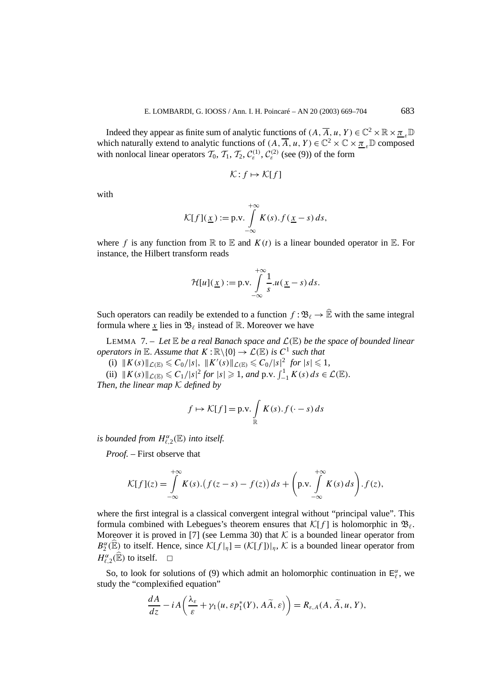Indeed they appear as finite sum of analytic functions of  $(A, \overline{A}, u, Y) \in \mathbb{C}^2 \times \mathbb{R} \times \mathbb{Z}$  *<sub>r</sub>* $\mathbb{D}$ which naturally extend to analytic functions of  $(A, \overline{A}, u, Y) \in \mathbb{C}^2 \times \mathbb{C} \times \pi$ ,  $\mathbb{D}$  composed with nonlocal linear operators  $\mathcal{T}_0$ ,  $\mathcal{T}_1$ ,  $\mathcal{T}_2$ ,  $\mathcal{C}_{\varepsilon}^{(1)}$ ,  $\mathcal{C}_{\varepsilon}^{(2)}$  (see (9)) of the form

$$
\mathcal{K}: f \mapsto \mathcal{K}[f]
$$

with

$$
\mathcal{K}[f](\underline{x}) := \text{p.v.} \int_{-\infty}^{+\infty} K(s) \cdot f(\underline{x} - s) \, ds,
$$

where *f* is any function from  $\mathbb R$  to  $\mathbb E$  and  $K(t)$  is a linear bounded operator in  $\mathbb E$ . For instance, the Hilbert transform reads

$$
\mathcal{H}[u](\underline{x}) := \text{p.v.} \int_{-\infty}^{+\infty} \frac{1}{s} u(\underline{x} - s) \, ds.
$$

Such operators can readily be extended to a function  $f : \mathfrak{B}_\ell \to \widehat{\mathbb{E}}$  with the same integral formula where  $x$  lies in  $\mathfrak{B}_{\ell}$  instead of R. Moreover we have

LEMMA 7. – Let  $\mathbb E$  *be a real Banach space and*  $\mathcal L(\mathbb E)$  *be the space of bounded linear operators in*  $\mathbb{E}$ *. Assume that*  $K : \mathbb{R} \setminus \{0\} \to \mathcal{L}(\mathbb{E})$  *is*  $C^1$  *such that* 

(i)  $||K(s)||_{\mathcal{L}(\mathbb{E})} \leq C_0/|s|, \quad ||K'(s)||_{\mathcal{L}(\mathbb{E})} \leq C_0/|s|^2 \text{ for } |s| \leq 1,$ 

(ii)  $||K(s)||_{\mathcal{L}(\mathbb{E})} \leq C_1/|s|^2$  *for*  $|s| \geq 1$ *, and*  $p.v. \int_{-1}^{1} K(s) ds \in \mathcal{L}(\mathbb{E})$ *. Then, the linear map* K *defined by*

$$
f \mapsto \mathcal{K}[f] = \text{p.v.} \int_{\mathbb{R}} K(s).f(\cdot - s) ds
$$

*is bounded from*  $H_{\ell,2}^{\alpha}(\mathbb{E})$  *into itself.* 

*Proof. –* First observe that

$$
\mathcal{K}[f](z) = \int_{-\infty}^{+\infty} K(s) \cdot (f(z-s) - f(z)) ds + \left(p.v. \int_{-\infty}^{+\infty} K(s) ds\right) \cdot f(z),
$$

where the first integral is a classical convergent integral without "principal value". This formula combined with Lebegues's theorem ensures that  $\mathcal{K}[f]$  is holomorphic in  $\mathfrak{B}_{\ell}$ . Moreover it is proved in [7] (see Lemma 30) that  $K$  is a bounded linear operator from  $B_2^{\alpha}(\widehat{\mathbb{E}})$  to itself. Hence, since  $\mathcal{K}[f|_{\eta}] = (\mathcal{K}[f])|_{\eta}$ ,  $\mathcal{K}$  is a bounded linear operator from  $H_{\ell,2}^{\alpha}(\widehat{\mathbb{E}})$  to itself.  $\square$ 

So, to look for solutions of (9) which admit an holomorphic continuation in  $E_{\ell}^{\alpha}$ , we study the "complexified equation"

$$
\frac{dA}{dz} - iA\left(\frac{\lambda_{\varepsilon}}{\varepsilon} + \gamma_1(u, \varepsilon p_1^*(Y), A\widetilde{A}, \varepsilon)\right) = R_{\varepsilon, A}(A, \widetilde{A}, u, Y),
$$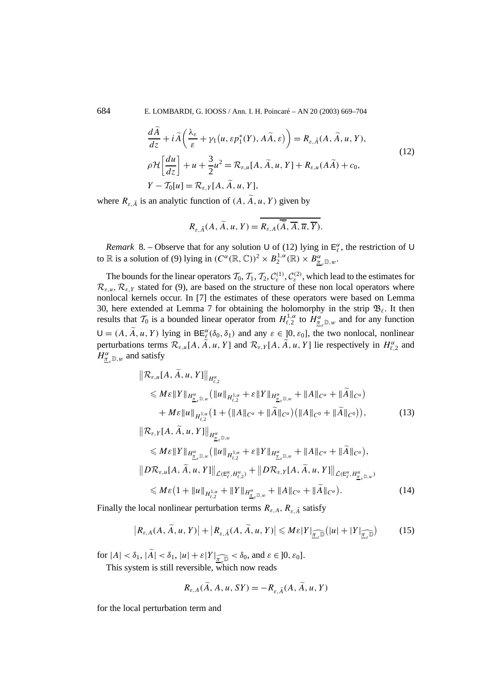684 E. LOMBARDI, G. IOOSS / Ann. I. H. Poincaré – AN 20 (2003) 669–704

$$
\frac{d\tilde{A}}{dz} + i\tilde{A}\left(\frac{\lambda_{\varepsilon}}{\varepsilon} + \gamma_{1}(u, \varepsilon p_{1}^{*}(Y), A\tilde{A}, \varepsilon)\right) = R_{\varepsilon, \tilde{A}}(A, \tilde{A}, u, Y),
$$
\n
$$
\rho \mathcal{H}\left[\frac{du}{dz}\right] + u + \frac{3}{2}u^{2} = \mathcal{R}_{\varepsilon, u}[A, \tilde{A}, u, Y] + R_{\varepsilon, u}(A\tilde{A}) + c_{0},
$$
\n
$$
Y - \mathcal{I}_{0}[u] = \mathcal{R}_{\varepsilon, Y}[A, \tilde{A}, u, Y],
$$
\n(12)

where  $R_{\varepsilon, \tilde{A}}$  is an analytic function of  $(A, \tilde{A}, u, Y)$  given by

$$
R_{\varepsilon,\tilde{A}}(A,\tilde{A},u,Y)=R_{\varepsilon,A}(\overline{\tilde{A}},\overline{A},\overline{u},\overline{Y}).
$$

*Remark* 8. – Observe that for any solution U of (12) lying in  $E_{\ell}^{\alpha}$ , the restriction of U to  $\mathbb{R}$  is a solution of (9) lying in  $(C^{\alpha}(\mathbb{R}, \mathbb{C}))^2 \times B_2^{1,\alpha}(\mathbb{R}) \times B_{\underline{\pi}_{\varepsilon} \mathbb{D},w}^{\alpha}$ .

The bounds for the linear operators  $\mathcal{T}_0$ ,  $\mathcal{T}_1$ ,  $\mathcal{T}_2$ ,  $\mathcal{C}_{\varepsilon}^{(1)}$ ,  $\mathcal{C}_{\varepsilon}^{(2)}$ , which lead to the estimates for  $\mathcal{R}_{\varepsilon,u}, \mathcal{R}_{\varepsilon,Y}$  stated for (9), are based on the structure of these non local operators where nonlocal kernels occur. In [7] the estimates of these operators were based on Lemma 30, here extended at Lemma 7 for obtaining the holomorphy in the strip  $\mathfrak{B}_{\ell}$ . It then results that  $\mathcal{T}_0$  is a bounded linear operator from  $H_{\ell,2}^{1,\alpha}$  to  $\overline{H_{\underline{\pi}_s}^{\alpha}}_{\mathbb{D},w}$  and for any function  $U = (A, \tilde{A}, u, Y)$  lying in  $BE_{\ell}^{\alpha}(\delta_0, \delta_1)$  and any  $\varepsilon \in [0, \varepsilon_0]$ , the two nonlocal, nonlinear perturbations terms  $\mathcal{R}_{\varepsilon,u}[A, \tilde{A}, u, Y]$  and  $\mathcal{R}_{\varepsilon,Y}[A, \tilde{A}, u, Y]$  lie respectively in  $H_{\ell,2}^{\alpha}$  and  $H^{\alpha}_{\underline{\pi}_\varepsilon}$ <sub>*D*</sub>,*w* and satisfy

$$
\|\mathcal{R}_{\varepsilon,u}[A, \widetilde{A}, u, Y]\|_{H^{\alpha}_{\varepsilon,2}}\leqslant M\varepsilon \|Y\|_{H^{\alpha}_{\underline{\pi}_{\varepsilon}\mathbb{D},w}} \left( \|u\|_{H^{1,\alpha}_{\varepsilon,2}} + \varepsilon \|Y\|_{H^{\alpha}_{\underline{\pi}_{\varepsilon}\mathbb{D},w}} + \|A\|_{C^{\alpha}} + \|\widetilde{A}\|_{C^{\alpha}} \right)+ M\varepsilon \|u\|_{H^{1,\alpha}_{\varepsilon,2}} \left( 1 + \left( \|A\|_{C^{\alpha}} + \|\widetilde{A}\|_{C^{\alpha}} \right) \left( \|A\|_{C^0} + \|\widetilde{A}\|_{C^0} \right) \right),
$$
\n(13)

$$
\|\mathcal{R}_{\varepsilon,Y}[A, \tilde{A}, u, Y]\|_{H^{\alpha}_{\underline{\pi}_{\varepsilon}, \mathbb{D}, w}}\n\leq M\varepsilon \|Y\|_{H^{\alpha}_{\underline{\pi}_{\varepsilon}, \mathbb{D}, w}} (\|u\|_{H^{1,\alpha}_{\varepsilon, 2}} + \varepsilon \|Y\|_{H^{\alpha}_{\underline{\pi}_{\varepsilon}, \mathbb{D}, w}} + \|A\|_{C^{\alpha}} + \|\tilde{A}\|_{C^{\alpha}}),\n\|D\mathcal{R}_{\varepsilon, u}[A, \tilde{A}, u, Y]\|_{\mathcal{L}(\mathbb{E}^{\alpha}_{\varepsilon}, H^{\alpha}_{\varepsilon, 2})} + \|D\mathcal{R}_{\varepsilon,Y}[A, \tilde{A}, u, Y]\|_{\mathcal{L}(\mathbb{E}^{\alpha}_{\varepsilon}, H^{\alpha}_{\underline{\pi}_{\varepsilon}, \mathbb{D}, w})}\n\leq M\varepsilon (1 + \|u\|_{H^{1,\alpha}_{\varepsilon, 2}} + \|Y\|_{H^{\alpha}_{\underline{\pi}_{\varepsilon}, \mathbb{D}, w}} + \|A\|_{C^{\alpha}} + \|\tilde{A}\|_{C^{\alpha}}). \n\tag{14}
$$

Finally the local nonlinear perturbation terms  $R_{\varepsilon,A}$ ,  $R_{\varepsilon,\tilde{A}}$  satisfy

$$
\left| R_{\varepsilon,A}(A, \widetilde{A}, u, Y) \right| + \left| R_{\varepsilon, \widetilde{A}}(A, \widetilde{A}, u, Y) \right| \leqslant M \varepsilon |Y|_{\widetilde{\underline{\pi}_{\varepsilon}} \mathbb{D}} \left( |u| + |Y|_{\widetilde{\underline{\pi}_{\varepsilon}} \mathbb{D}} \right) \tag{15}
$$

for  $|A| < \delta_1$ ,  $|A| < \delta_1$ ,  $|u| + \varepsilon |Y| \leq \varepsilon \delta_0$ , and  $\varepsilon \in ]0, \varepsilon_0]$ .<br>This existent is still revealed which near reads.

This system is still reversible, which now reads

$$
R_{\varepsilon,A}(\tilde{A}, A, u, SY) = -R_{\varepsilon, \tilde{A}}(A, \tilde{A}, u, Y)
$$

for the local perturbation term and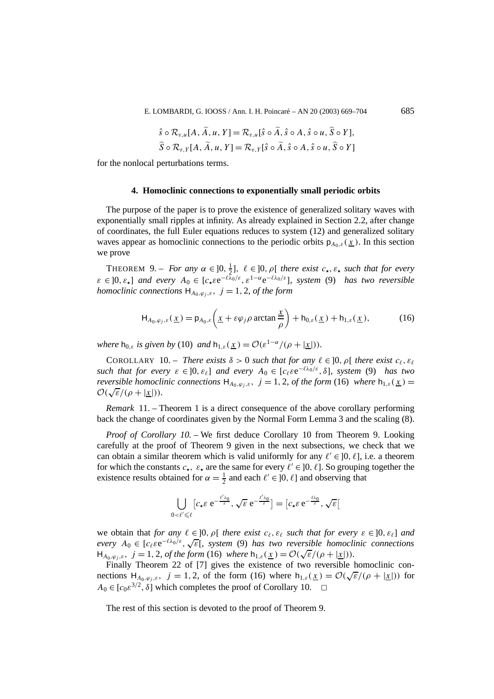$$
\hat{s} \circ \mathcal{R}_{\varepsilon,u}[A, \tilde{A}, u, Y] = \mathcal{R}_{\varepsilon,u}[\hat{s} \circ \tilde{A}, \hat{s} \circ A, \hat{s} \circ u, \tilde{S} \circ Y],
$$
  

$$
\hat{S} \circ \mathcal{R}_{\varepsilon,Y}[A, \tilde{A}, u, Y] = \mathcal{R}_{\varepsilon,Y}[\hat{s} \circ \tilde{A}, \hat{s} \circ A, \hat{s} \circ u, \hat{S} \circ Y]
$$

for the nonlocal perturbations terms.

## **4. Homoclinic connections to exponentially small periodic orbits**

The purpose of the paper is to prove the existence of generalized solitary waves with exponentially small ripples at infinity. As already explained in Section 2.2, after change of coordinates, the full Euler equations reduces to system (12) and generalized solitary waves appear as homoclinic connections to the periodic orbits  $p_{A_0,\varepsilon}(\underline{x})$ . In this section we prove

THEOREM 9. – *For any*  $\alpha \in ]0, \frac{1}{2}]$ ,  $\ell \in ]0, \rho[$  *there exist*  $c_{\star}, \varepsilon_{\star}$  *such that for every*  $\varepsilon \in [0, \varepsilon]$  *and every*  $A_0 \in [c_+ \varepsilon e^{-\ell \lambda_0/\varepsilon}, \varepsilon^{1-\alpha} e^{-\ell \lambda_0/\varepsilon}]$ , system (9) has two reversible *homoclinic connections*  $H_{A_0,\varphi_i,\varepsilon}$ ,  $j = 1, 2$ , *of the form* 

$$
H_{A_0,\varphi_j,\varepsilon}(\underline{x}) = p_{A_0,\varepsilon} \left( \underline{x} + \varepsilon \varphi_j \rho \arctan \frac{\underline{x}}{\rho} \right) + h_{0,\varepsilon}(\underline{x}) + h_{1,\varepsilon}(\underline{x}), \tag{16}
$$

*where*  $h_{0,\varepsilon}$  *is given by* (10) *and*  $h_{1,\varepsilon}(x) = \mathcal{O}(\varepsilon^{1-\alpha}/(\rho+|x|)).$ 

COROLLARY 10. – *There exists*  $\delta > 0$  *such that for any*  $\ell \in ]0, \rho[$  *there exist*  $c_{\ell}, \varepsilon_{\ell}$ *such that for every*  $\varepsilon \in ]0, \varepsilon_{\ell}]$  *and every*  $A_0 \in [c_{\ell} \varepsilon e^{-\ell \lambda_0 / \varepsilon}, \delta]$ *, system* (9) *has two reversible homoclinic connections*  $H_{A_0,\varphi_j,\varepsilon}$ ,  $j = 1, 2$ , *of the form* (16) *where*  $h_{1,\varepsilon}(\underline{x}) =$  $\mathcal{O}(\sqrt{\varepsilon}/(\rho + |\underline{x}|)).$ 

*Remark* 11. – Theorem 1 is a direct consequence of the above corollary performing back the change of coordinates given by the Normal Form Lemma 3 and the scaling (8).

*Proof of Corollary 10. –* We first deduce Corollary 10 from Theorem 9. Looking carefully at the proof of Theorem 9 given in the next subsections, we check that we can obtain a similar theorem which is valid uniformly for any  $\ell' \in [0, \ell]$ , i.e. a theorem for which the constants  $c_{\star}$ ,  $\varepsilon_{\star}$  are the same for every  $\ell' \in ]0, \ell]$ . So grouping together the existence results obtained for  $\alpha = \frac{1}{2}$  and each  $\ell' \in ]0, \ell]$  and observing that

$$
\bigcup_{0<\ell'\leq \ell} [c_\star \varepsilon \mathrm{e}^{-\frac{\ell'\lambda_0}{\varepsilon}}, \sqrt{\varepsilon} \mathrm{e}^{-\frac{\ell'\lambda_0}{\varepsilon}}] = [c_\star \varepsilon \mathrm{e}^{-\frac{\ell\lambda_0}{\varepsilon}}, \sqrt{\varepsilon}]
$$

we obtain that *for any*  $\ell \in ]0, \rho[$  *there exist*  $c_{\ell}, \varepsilon_{\ell}$  *such that for every*  $\varepsilon \in ]0, \varepsilon_{\ell}]$  *and every*  $A_0 \in [c_\ell \varepsilon e^{-\ell \lambda_0/\varepsilon}, \sqrt{\varepsilon}],$  *system* (9) *has two reversible homoclinic connections*  $H_{A_0,\varphi_j,\varepsilon}$ ,  $j = 1, 2$ , of the form (16) where  $h_{1,\varepsilon}(\underline{x}) = \mathcal{O}(\sqrt{\varepsilon}/(\rho + |\underline{x}|))$ .

Finally Theorem 22 of [7] gives the existence of two reversible homoclinic con-Finally Theorem 22 of [*i*] gives the existence of two reversible homocninc con-<br>nections  $H_{A_0,\varphi_j,\varepsilon}$ ,  $j = 1,2$ , of the form (16) where  $h_{1,\varepsilon}(\underline{x}) = \mathcal{O}(\sqrt{\varepsilon}/(\rho + |\underline{x}|))$  for  $A_0 \in [c_0 \varepsilon^{3/2}, \delta]$  which completes the proof of Corollary 10.  $\Box$ 

The rest of this section is devoted to the proof of Theorem 9.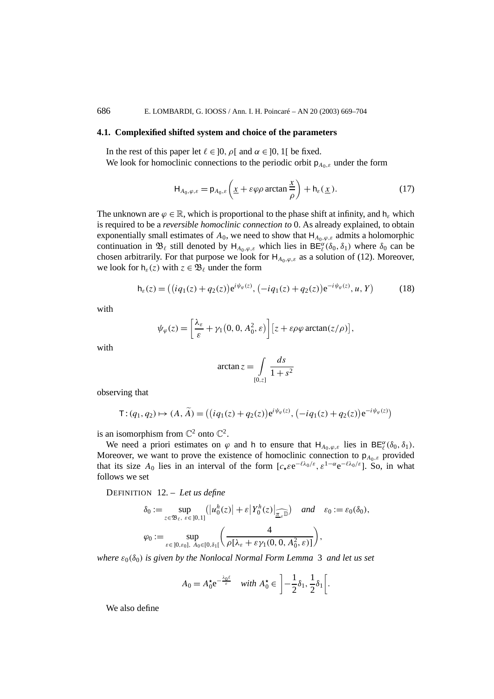### **4.1. Complexified shifted system and choice of the parameters**

In the rest of this paper let  $\ell \in [0, \rho[$  and  $\alpha \in [0, 1]$  be fixed. We look for homoclinic connections to the periodic orbit p*A*0*,ε* under the form

$$
H_{A_0,\varphi,\varepsilon} = p_{A_0,\varepsilon} \left( \underline{x} + \varepsilon \varphi \rho \arctan \frac{\underline{x}}{\rho} \right) + h_{\varepsilon}(\underline{x}). \tag{17}
$$

The unknown are  $\varphi \in \mathbb{R}$ , which is proportional to the phase shift at infinity, and  $h_{\varepsilon}$  which is required to be a *reversible homoclinic connection to* 0. As already explained, to obtain exponentially small estimates of  $A_0$ , we need to show that  $H_{A_0, \varphi, \varepsilon}$  admits a holomorphic continuation in  $\mathfrak{B}_{\ell}$  still denoted by  $H_{A_0,\varphi,\varepsilon}$  which lies in  $BE_{\ell}^{\alpha}(\delta_0,\delta_1)$  where  $\delta_0$  can be chosen arbitrarily. For that purpose we look for  $H_{A_0,\varphi,\varepsilon}$  as a solution of (12). Moreover, we look for  $h_{\varepsilon}(z)$  with  $z \in \mathfrak{B}_{\ell}$  under the form

$$
\mathsf{h}_{\varepsilon}(z) = ((iq_1(z) + q_2(z))e^{i\psi_{\varphi}(z)}, (-iq_1(z) + q_2(z))e^{-i\psi_{\varphi}(z)}, u, Y) \tag{18}
$$

with

$$
\psi_{\varphi}(z) = \left[\frac{\lambda_{\varepsilon}}{\varepsilon} + \gamma_1(0, 0, A_0^2, \varepsilon)\right] \left[z + \varepsilon \rho \varphi \arctan(z/\rho)\right],
$$

with

$$
\arctan z = \int\limits_{[0,z]} \frac{ds}{1+s^2}
$$

observing that

$$
\mathsf{T}: (q_1, q_2) \mapsto (A, \widetilde{A}) = ((iq_1(z) + q_2(z))e^{i\psi_{\varphi}(z)}, (-iq_1(z) + q_2(z))e^{-i\psi_{\varphi}(z)})
$$

is an isomorphism from  $\mathbb{C}^2$  onto  $\mathbb{C}^2$ .

We need a priori estimates on  $\varphi$  and h to ensure that  $H_{A_0,\varphi,\varepsilon}$  lies in  $BE^{\alpha}_{\ell}(\delta_0,\delta_1)$ . Moreover, we want to prove the existence of homoclinic connection to  $p_{A_0,\varepsilon}$  provided that its size  $A_0$  lies in an interval of the form  $[c_+ \varepsilon e^{-\ell \lambda_0/\varepsilon}, \varepsilon^{1-\alpha} e^{-\ell \lambda_0/\varepsilon}]$ . So, in what follows we set

DEFINITION 12. – *Let us define*

$$
\delta_0 := \sup_{z \in \mathfrak{B}_{\ell}, \ \varepsilon \in [0,1]} (|u_0^h(z)| + \varepsilon |Y_0^h(z)|_{\widehat{\underline{\pi}_{\varepsilon}}}) \quad \text{and} \quad \varepsilon_0 := \varepsilon_0(\delta_0),
$$
  

$$
\varphi_0 := \sup_{\varepsilon \in [0,\varepsilon_0], \ A_0 \in [0,\delta_1[} \left( \frac{4}{\rho[\lambda_{\varepsilon} + \varepsilon \gamma_1(0,0, A_0^2, \varepsilon)]} \right),
$$

*where*  $\varepsilon_0(\delta_0)$  *is given by the Nonlocal Normal Form Lemma* 3 *and let us set* 

$$
A_0 = A_0^{\star} e^{-\frac{\lambda_0 \ell}{\varepsilon}} \quad \text{with } A_0^{\star} \in \left] -\frac{1}{2} \delta_1, \frac{1}{2} \delta_1 \right[.
$$

We also define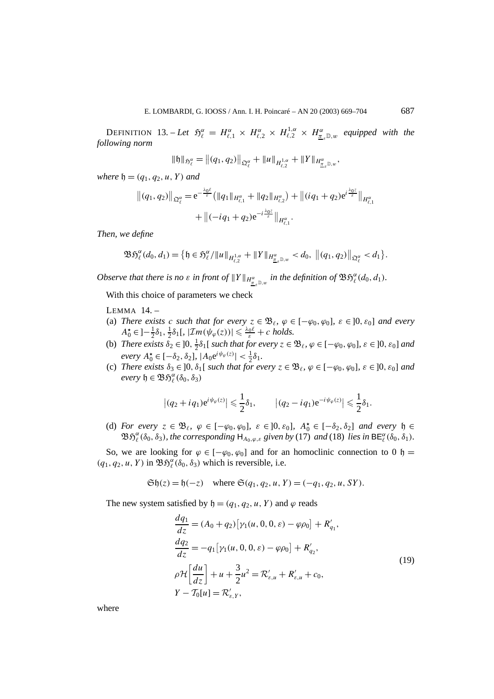$\text{DEFINITION 13.} - Let \quad \mathfrak{H}_{\ell}^{\alpha} = H_{\ell,1}^{\alpha} \times H_{\ell,2}^{\alpha} \times H_{\ell,2}^{1,\alpha} \times H_{\underline{\pi}_{\varepsilon} \mathbb{D},w}^{\alpha}$  equipped with the *following norm*

$$
\|\mathfrak{h}\|_{\mathfrak{H}^{\alpha}_{\ell}}=\big\|(q_1,q_2)\big\|_{\mathfrak{Q}^{\alpha}_{\ell}}+\|u\|_{H^{1,\alpha}_{\ell,2}}+\|Y\|_{H^{\alpha}_{\underline{\pi}_{\epsilon}\mathbb{D},w}},
$$

*where*  $\mathfrak{h} = (q_1, q_2, u, Y)$  *and* 

$$
||(q_1, q_2)||_{\mathfrak{Q}_{\ell}^{\alpha}} = e^{-\frac{\lambda_0 \ell}{\varepsilon}} (||q_1||_{H_{\ell, 1}^{\alpha}} + ||q_2||_{H_{\ell, 2}^{\alpha}}) + ||(iq_1 + q_2)e^{i\frac{\lambda_0 z}{\varepsilon}}||_{H_{\ell, 1}^{\alpha}}
$$
  
+ 
$$
||(-iq_1 + q_2)e^{-i\frac{\lambda_0 z}{\varepsilon}}||_{H_{\ell, 1}^{\alpha}}.
$$

*Then, we define*

$$
\mathfrak{BS}_{\ell}^{\alpha}(d_0, d_1) = \big\{\mathfrak{h} \in \mathfrak{H}_{\ell}^{\alpha}/\|u\|_{H_{\ell,2}^{1,\alpha}} + \|Y\|_{H_{\underline{\pi}_{\varepsilon}}^{\alpha}(\mathbb{D}, w)} < d_0, \; \big\|(q_1, q_2)\big\|_{\mathfrak{Q}_{\ell}^{\alpha}} < d_1 \big\}.
$$

*Observe that there is no*  $\varepsilon$  *in front of*  $||Y||_{H^{\alpha}_{\mathbb{Z}_\varepsilon} \mathbb{D}, w}$  *in the definition of*  $\mathfrak{BS}_\ell^{\alpha}(d_0, d_1)$ *.* 

With this choice of parameters we check

LEMMA 14. –

- (a) *There exists c such that for every*  $z \in \mathcal{B}_{\ell}$ ,  $\varphi \in [-\varphi_0, \varphi_0]$ ,  $\varepsilon \in [0, \varepsilon_0]$  *and every*  $A_0^{\star} \in \left] -\frac{1}{2}\delta_1, \frac{1}{2}\delta_1\right], \, |\mathcal{I}m(\psi_{\varphi}(z))| \leq \frac{\lambda_0\ell}{\varepsilon} + c \text{ holds.}$
- (b) *There exists*  $\delta_2 \in ]0, \frac{1}{2}\delta_1[$  *such that for every*  $z \in \mathfrak{B}_{\ell}$ ,  $\varphi \in [-\varphi_0, \varphi_0]$ ,  $\varepsilon \in ]0, \varepsilon_0]$  *and*  $\frac{1}{2}\delta_1$  **A**<sub>0</sub> **E**  $[-\delta_2, \delta_2]$ ,  $|A_0 e^{i\psi_\varphi(z)}| < \frac{1}{2}\delta_1$ .
- (c) *There exists*  $\delta_3 \in ]0, \delta_1[$  *such that for every*  $z \in \mathcal{B}_{\ell}, \varphi \in [-\varphi_0, \varphi_0], \varepsilon \in ]0, \varepsilon_0]$  *and*  $every \, \mathfrak{h} \in \mathfrak{B} \mathfrak{H}_{\ell}^{\alpha}(\delta_0, \delta_3)$

$$
\left|(q_2+iq_1)e^{i\psi_{\varphi}(z)}\right|\leq \frac{1}{2}\delta_1,\qquad \left|(q_2-iq_1)e^{-i\psi_{\varphi}(z)}\right|\leq \frac{1}{2}\delta_1.
$$

(d) *For every*  $z \in \mathfrak{B}_{\ell}$ ,  $\varphi \in [-\varphi_0, \varphi_0]$ ,  $\varepsilon \in ]0, \varepsilon_0]$ ,  $A_0^{\star} \in [-\delta_2, \delta_2]$  *and every*  $\mathfrak{h} \in$  $\mathfrak{B}\mathfrak{H}_{\ell}^{\alpha}(\delta_0,\delta_3)$ , the corresponding  $\mathsf{H}_{A_0,\varphi,\varepsilon}$  given by (17) and (18) lies in  $\mathsf{BE}_{\ell}^{\alpha}(\delta_0,\delta_1)$ .

So, we are looking for  $\varphi \in [-\varphi_0, \varphi_0]$  and for an homoclinic connection to 0 h =  $(q_1, q_2, u, Y)$  in  $\mathfrak{B} \mathfrak{H}_{\ell}^{\alpha}(\delta_0, \delta_3)$  which is reversible, i.e.

 $\mathfrak{Sh}(z) = \mathfrak{h}(-z)$  where  $\mathfrak{S}(q_1, q_2, u, Y) = (-q_1, q_2, u, SY)$ .

The new system satisfied by  $\mathfrak{h} = (q_1, q_2, u, Y)$  and  $\varphi$  reads

$$
\frac{dq_1}{dz} = (A_0 + q_2) [\gamma_1(u, 0, 0, \varepsilon) - \varphi \rho_0] + R'_{q_1},
$$
  
\n
$$
\frac{dq_2}{dz} = -q_1 [\gamma_1(u, 0, 0, \varepsilon) - \varphi \rho_0] + R'_{q_2},
$$
  
\n
$$
\rho \mathcal{H} \left[ \frac{du}{dz} \right] + u + \frac{3}{2} u^2 = \mathcal{R}'_{\varepsilon, u} + R'_{\varepsilon, u} + c_0,
$$
  
\n
$$
Y - \mathcal{T}_0[u] = \mathcal{R}'_{\varepsilon, Y},
$$
\n(19)

where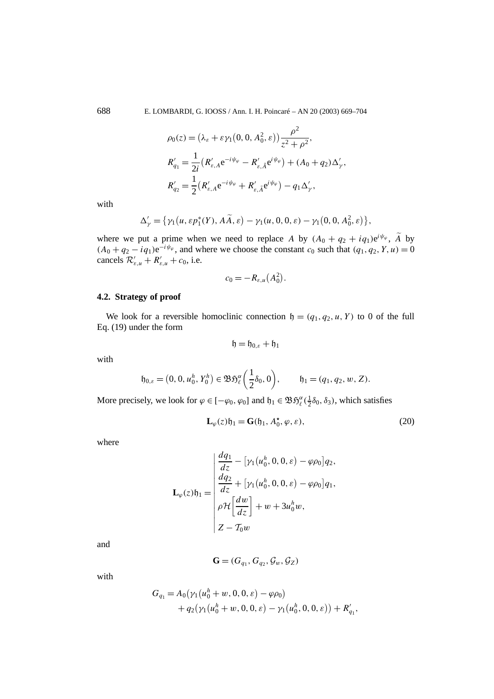688 E. LOMBARDI, G. IOOSS / Ann. I. H. Poincaré – AN 20 (2003) 669–704

$$
\rho_0(z) = (\lambda_{\varepsilon} + \varepsilon \gamma_1(0, 0, A_0^2, \varepsilon)) \frac{\rho^2}{z^2 + \rho^2},
$$
  
\n
$$
R'_{q_1} = \frac{1}{2i} (R'_{\varepsilon, A} e^{-i\psi_{\varphi}} - R'_{\varepsilon, \tilde{A}} e^{i\psi_{\varphi}}) + (A_0 + q_2) \Delta'_{\gamma},
$$
  
\n
$$
R'_{q_2} = \frac{1}{2} (R'_{\varepsilon, A} e^{-i\psi_{\varphi}} + R'_{\varepsilon, \tilde{A}} e^{i\psi_{\varphi}}) - q_1 \Delta'_{\gamma},
$$

with

$$
\Delta'_{\gamma} = \{ \gamma_1(u, \varepsilon p_1^*(Y), A\widetilde{A}, \varepsilon) - \gamma_1(u, 0, 0, \varepsilon) - \gamma_1(0, 0, A_0^2, \varepsilon) \},
$$

where we put a prime when we need to replace *A* by  $(A_0 + q_2 + iq_1)e^{i\psi_\varphi}$ ,  $\widetilde{A}$  by  $(A_0 + q_2 - iq_1)e^{-i\psi_\varphi}$ , and where we choose the constant  $c_0$  such that  $(q_1, q_2, Y, u) = 0$ cancels  $\mathcal{R}'_{\varepsilon,u} + \mathcal{R}'_{\varepsilon,u} + c_0$ , i.e.

$$
c_0=-R_{\varepsilon,u}(A_0^2).
$$

# **4.2. Strategy of proof**

We look for a reversible homoclinic connection  $\mathfrak{h} = (q_1, q_2, u, Y)$  to 0 of the full Eq. (19) under the form

$$
\mathfrak{h} = \mathfrak{h}_{0,\varepsilon} + \mathfrak{h}_1
$$

with

$$
\mathfrak{h}_{0,\varepsilon} = (0,0, u_0^h, Y_0^h) \in \mathfrak{B} \mathfrak{H}_{\ell}^{\alpha} \left( \frac{1}{2} \delta_0, 0 \right), \qquad \mathfrak{h}_1 = (q_1, q_2, w, Z).
$$

More precisely, we look for  $\varphi \in [-\varphi_0, \varphi_0]$  and  $\mathfrak{h}_1 \in \mathfrak{B} \mathfrak{H}_{\ell}^{\alpha}(\frac{1}{2}\delta_0, \delta_3)$ , which satisfies

$$
\mathbf{L}_{\varphi}(z)\mathfrak{h}_1 = \mathbf{G}(\mathfrak{h}_1, A_0^{\star}, \varphi, \varepsilon),\tag{20}
$$

where

$$
\mathbf{L}_{\varphi}(z)\mathfrak{h}_1 = \begin{vmatrix} \frac{dq_1}{dz} - \left[\gamma_1(u_0^h, 0, 0, \varepsilon) - \varphi \rho_0\right] q_2, \\ \frac{dq_2}{dz} + \left[\gamma_1(u_0^h, 0, 0, \varepsilon) - \varphi \rho_0\right] q_1, \\ \rho \mathcal{H} \left[\frac{dw}{dz}\right] + w + 3u_0^h w, \\ Z - T_0 w \end{vmatrix}
$$

and

$$
\mathbf{G} = (G_{q_1}, G_{q_2}, \mathcal{G}_w, \mathcal{G}_Z)
$$

with

$$
G_{q_1} = A_0(\gamma_1(u_0^h + w, 0, 0, \varepsilon) - \varphi \rho_0)
$$
  
+  $q_2(\gamma_1(u_0^h + w, 0, 0, \varepsilon) - \gamma_1(u_0^h, 0, 0, \varepsilon)) + R'_{q_1},$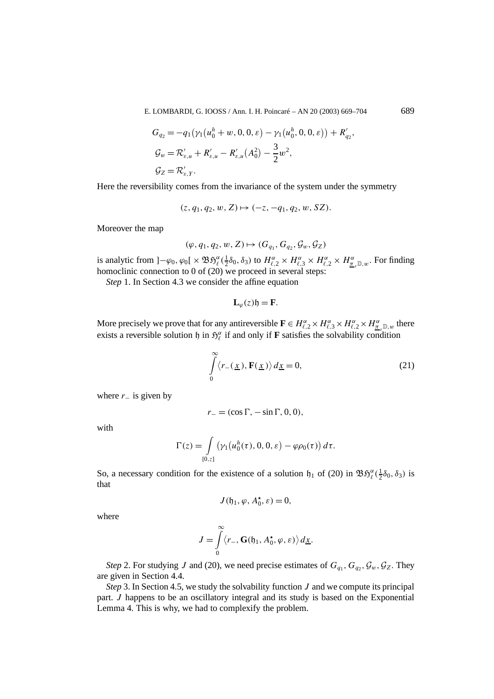E. LOMBARDI, G. IOOSS / Ann. I. H. Poincaré – AN 20 (2003) 669–704 689

$$
G_{q_2} = -q_1(\gamma_1(u_0^h + w, 0, 0, \varepsilon) - \gamma_1(u_0^h, 0, 0, \varepsilon)) + R'_{q_2},
$$
  
\n
$$
G_w = \mathcal{R}'_{\varepsilon, u} + R'_{\varepsilon, u} - R'_{\varepsilon, u}(A_0^2) - \frac{3}{2}w^2,
$$
  
\n
$$
G_Z = \mathcal{R}'_{\varepsilon, Y}.
$$

Here the reversibility comes from the invariance of the system under the symmetry

$$
(z, q_1, q_2, w, Z) \mapsto (-z, -q_1, q_2, w, SZ).
$$

Moreover the map

$$
(\varphi, q_1, q_2, w, Z) \mapsto (G_{q_1}, G_{q_2}, \mathcal{G}_w, \mathcal{G}_Z)
$$

is analytic from  $]-\varphi_0, \varphi_0[\times \mathfrak{B}\mathfrak{H}^{\alpha}_{\ell}(\frac{1}{2}\delta_0, \delta_3)$  to  $H^{\alpha}_{\ell,2} \times H^{\alpha}_{\ell,3} \times H^{\alpha}_{\ell,2} \times H^{\alpha}_{\underline{\pi}_{\epsilon}\mathbb{D},w}$ . For finding homoclinic connection to 0 of (20) we proceed in several steps:

*Step* 1. In Section 4.3 we consider the affine equation

$$
\mathbf{L}_{\varphi}(z)\mathfrak{h}=\mathbf{F}.
$$

More precisely we prove that for any antireversible  $\mathbf{F} \in H_{\ell,2}^{\alpha} \times H_{\ell,3}^{\alpha} \times H_{\ell,2}^{\alpha} \times H_{\frac{\pi}{2},\mathbb{D},w}^{\alpha}$  there exists a reversible solution h in  $\mathfrak{H}_{\ell}^{\alpha}$  if and only if **F** satisfies the solvability condition

$$
\int_{0}^{\infty} \langle r_{-}(\underline{x}), \mathbf{F}(\underline{x}) \rangle d\underline{x} = 0, \tag{21}
$$

where  $r_$  is given by

$$
r_{-}=(\cos\Gamma,-\sin\Gamma,0,0),
$$

with

$$
\Gamma(z) = \int\limits_{[0,z]} \left( \gamma_1 \big( u_0^h(\tau), 0, 0, \varepsilon \big) - \varphi \rho_0(\tau) \right) d\tau.
$$

So, a necessary condition for the existence of a solution  $\mathfrak{h}_1$  of (20) in  $\mathfrak{B}\mathfrak{H}_{\ell}^{\alpha}(\frac{1}{2}\delta_0,\delta_3)$  is that

$$
J(\mathfrak{h}_1, \varphi, A_0^\star, \varepsilon) = 0,
$$

where

$$
J = \int_{0}^{\infty} \langle r_{-}, \mathbf{G}(\mathfrak{h}_1, A_0^{\star}, \varphi, \varepsilon) \rangle d\underline{x}.
$$

*Step* 2. For studying *J* and (20), we need precise estimates of  $G_{q_1}, G_{q_2}, G_w, G_Z$ . They are given in Section 4.4.

*Step* 3. In Section 4.5, we study the solvability function *J* and we compute its principal part. *J* happens to be an oscillatory integral and its study is based on the Exponential Lemma 4. This is why, we had to complexify the problem.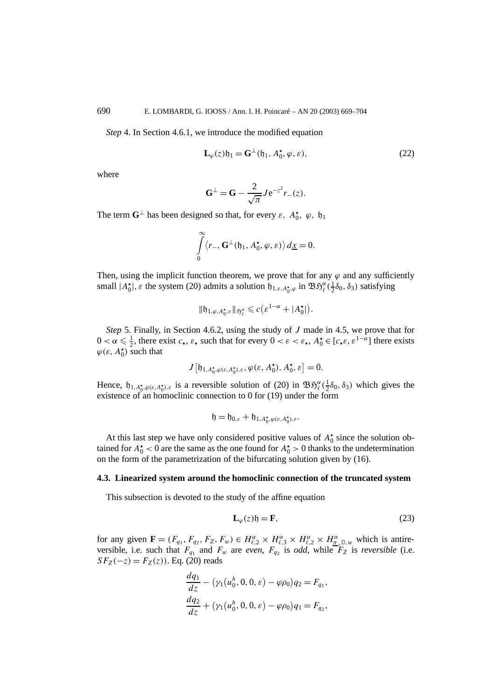*Step* 4. In Section 4.6.1, we introduce the modified equation

$$
\mathbf{L}_{\varphi}(z)\mathfrak{h}_1 = \mathbf{G}^{\perp}(\mathfrak{h}_1, A_0^{\star}, \varphi, \varepsilon), \tag{22}
$$

where

$$
G^{\perp} = G - \frac{2}{\sqrt{\pi}} J e^{-z^2} r_-(z).
$$

The term  $\mathbf{G}^{\perp}$  has been designed so that, for every  $\varepsilon$ ,  $A_0^{\star}$ ,  $\varphi$ ,  $\mathfrak{h}_1$ 

$$
\int_{0}^{\infty} \langle r_{-}, \mathbf{G}^{\perp}(\mathfrak{h}_{1}, A_{0}^{\star}, \varphi, \varepsilon) \rangle d\underline{x} = 0.
$$

Then, using the implicit function theorem, we prove that for any  $\varphi$  and any sufficiently small  $|A_0^{\star}|$ ,  $\varepsilon$  the system (20) admits a solution  $\mathfrak{h}_{1,\varepsilon,A_0^{\star},\varphi}$  in  $\mathfrak{B}\mathfrak{H}_{\ell}^{\alpha}(\frac{1}{2}\delta_0,\delta_3)$  satisfying

$$
\|\mathfrak{h}_{1,\varphi,A_0^{\star},\varepsilon}\|_{\mathfrak{H}_{\ell}^{\alpha}}\leqslant c\big(\varepsilon^{1-\alpha}+|A_0^{\star}|\big).
$$

*Step* 5. Finally, in Section 4.6.2, using the study of *J* made in 4.5, we prove that for  $0 < \alpha \leq \frac{1}{2}$ , there exist  $c_{\star}$ ,  $\varepsilon_{\star}$  such that for every  $0 < \varepsilon < \varepsilon_{\star}$ ,  $A_{0}^{\star} \in [c_{\star} \varepsilon, \varepsilon^{1-\alpha}]$  there exists  $\varphi(\varepsilon, A_0^{\star})$  such that

$$
J\big[\mathfrak{h}_{1,A_0^{\star},\varphi(\varepsilon,A_0^{\star}),\varepsilon},\varphi(\varepsilon,A_0^{\star}),A_0^{\star},\varepsilon\big]=0.
$$

Hence,  $h_{1, A_0^{\star}, \varphi(\varepsilon, A_0^{\star}) , \varepsilon}$  is a reversible solution of (20) in  $\mathfrak{B} \mathfrak{H}_{\ell}^{\alpha}(\frac{1}{2}\delta_0, \delta_3)$  which gives the existence of an homoclinic connection to 0 for (19) under the form

$$
\mathfrak{h}=\mathfrak{h}_{0,\varepsilon}+\mathfrak{h}_{1,A_0^\star,\varphi(\varepsilon,A_0^\star),\varepsilon}.
$$

At this last step we have only considered positive values of  $A_0^{\star}$  since the solution obtained for  $A_0^*$  < 0 are the same as the one found for  $A_0^*$  > 0 thanks to the undetermination on the form of the parametrization of the bifurcating solution given by (16).

## **4.3. Linearized system around the homoclinic connection of the truncated system**

This subsection is devoted to the study of the affine equation

$$
\mathbf{L}_{\varphi}(z)\mathfrak{h} = \mathbf{F},\tag{23}
$$

for any given  $\mathbf{F} = (F_{q_1}, F_{q_2}, F_Z, F_w) \in H_{\ell,2}^{\alpha} \times H_{\ell,3}^{\alpha} \times H_{\ell,2}^{\alpha} \times H_{\underline{\pi}_{\epsilon} \mathbb{D},w}^{\alpha}$  which is antireversible, i.e. such that  $F_{q_1}$  and  $F_w$  are *even*,  $F_{q_2}$  is *odd*, while  $F_Z$  is *reversible* (i.e.  $SF_Z(-z) = F_Z(z)$ ). Eq. (20) reads

$$
\frac{dq_1}{dz} - (\gamma_1(u_0^h, 0, 0, \varepsilon) - \varphi \rho_0) q_2 = F_{q_1},
$$
  

$$
\frac{dq_2}{dz} + (\gamma_1(u_0^h, 0, 0, \varepsilon) - \varphi \rho_0) q_1 = F_{q_2},
$$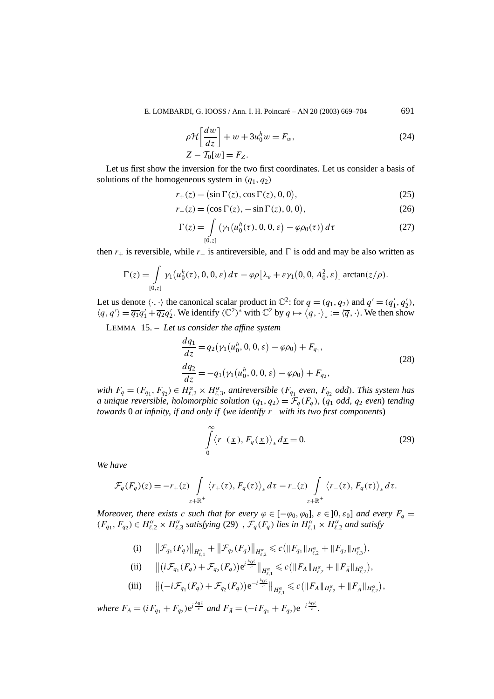E. LOMBARDI, G. IOOSS / Ann. I. H. Poincaré – AN 20 (2003) 669–704 691

$$
\rho \mathcal{H} \left[ \frac{dw}{dz} \right] + w + 3u_0^h w = F_w,
$$
\n
$$
Z - T_0[w] = F_Z.
$$
\n(24)

Let us first show the inversion for the two first coordinates. Let us consider a basis of solutions of the homogeneous system in  $(q_1, q_2)$ 

$$
r_{+}(z) = (\sin \Gamma(z), \cos \Gamma(z), 0, 0), \tag{25}
$$

$$
r_{-}(z) = \left(\cos \Gamma(z), -\sin \Gamma(z), 0, 0\right),\tag{26}
$$

$$
\Gamma(z) = \int_{[0,z]} (\gamma_1(u_0^h(\tau), 0, 0, \varepsilon) - \varphi \rho_0(\tau)) d\tau
$$
 (27)

then  $r_+$  is reversible, while  $r_-\$  is antireversible, and  $\Gamma$  is odd and may be also written as

$$
\Gamma(z) = \int_{[0,z]} \gamma_1(u_0^h(\tau), 0, 0, \varepsilon) d\tau - \varphi \rho[\lambda_{\varepsilon} + \varepsilon \gamma_1(0, 0, A_0^2, \varepsilon)] \arctan(z/\rho).
$$

Let us denote  $\langle \cdot, \cdot \rangle$  the canonical scalar product in  $\mathbb{C}^2$ : for  $q = (q_1, q_2)$  and  $q' = (q'_1, q'_2)$ ,  $\langle q, q' \rangle = \overline{q_1}q_1' + \overline{q_2}q_2'$ . We identify  $(\mathbb{C}^2)^*$  with  $\mathbb{C}^2$  by  $q \mapsto \langle q, \cdot \rangle_* := \langle \overline{q}, \cdot \rangle$ . We then show

LEMMA 15. – *Let us consider the affine system*

$$
\frac{dq_1}{dz} = q_2(\gamma_1(u_0^h, 0, 0, \varepsilon) - \varphi \rho_0) + F_{q_1},
$$
  
\n
$$
\frac{dq_2}{dz} = -q_1(\gamma_1(u_0^h, 0, 0, \varepsilon) - \varphi \rho_0) + F_{q_2},
$$
\n(28)

*with*  $F_q = (F_{q_1}, F_{q_2}) \in H_{\ell,2}^{\alpha} \times H_{\ell,3}^{\alpha}$ , antireversible  $(F_{q_1}$  even,  $F_{q_2}$  *odd*)*. This system has a* unique reversible, holomorphic solution  $(q_1, q_2) = \mathcal{F}_q(F_q)$ ,  $(q_1 \text{ odd}, q_2 \text{ even})$  tending *towards* 0 *at infinity, if and only if* (*we identify r*<sup>−</sup> *with its two first components*)

$$
\int_{0}^{\infty} \langle r_{-}(\underline{x}), F_{q}(\underline{x}) \rangle_{*} d\underline{x} = 0.
$$
 (29)

*We have*

$$
\mathcal{F}_q(F_q)(z) = -r_+(z) \int\limits_{z+\mathbb{R}^+} \langle r_+(\tau), F_q(\tau) \rangle_* d\tau - r_-(z) \int\limits_{z+\mathbb{R}^+} \langle r_-(\tau), F_q(\tau) \rangle_* d\tau.
$$

*Moreover, there exists c such that for every*  $\varphi \in [-\varphi_0, \varphi_0]$ *,*  $\varepsilon \in ]0, \varepsilon_0]$  *and every*  $F_q =$  $(F_{q_1}, F_{q_2}) \in H_{\ell,2}^{\alpha} \times H_{\ell,3}^{\alpha}$  satisfying (29),  $\mathcal{F}_q(F_q)$  lies in  $H_{\ell,1}^{\alpha} \times H_{\ell,2}^{\alpha}$  and satisfy

(i) 
$$
\|\mathcal{F}_{q_1}(F_q)\|_{H_{\ell,1}^{\alpha}} + \|\mathcal{F}_{q_2}(F_q)\|_{H_{\ell,2}^{\alpha}} \leq c (\|F_{q_1}\|_{H_{\ell,2}^{\alpha}} + \|F_{q_2}\|_{H_{\ell,3}^{\alpha}}),
$$
  
\n(ii)  $\|\langle \mathcal{F}_{q_1}(F_q) \rangle_{\mathcal{F}_{q_2}(F_q)} \leq c (\|F_{q_1}\|_{H_{\ell,2}^{\alpha}} + \|F_{q_2}\|_{H_{\ell,3}^{\alpha}}),$ 

(ii) 
$$
\| (i\mathcal{F}_{q_1}(F_q) + \mathcal{F}_{q_2}(F_q)) e^{i\frac{\Delta_0 c}{\varepsilon}} \|_{H^{\alpha}_{\ell,1}} \leq c ( \| F_A \|_{H^{\alpha}_{\ell,2}} + \| F_{\tilde{A}} \|_{H^{\alpha}_{\ell,2}} ),
$$

(iii) 
$$
\|(-i\mathcal{F}_{q_1}(F_q)+\mathcal{F}_{q_2}(F_q))e^{-i\frac{\lambda_0 z}{\varepsilon}}\|_{H_{\ell,1}^{\alpha}}\leq c\big(\|F_A\|_{H_{\ell,2}^{\alpha}}+\|F_{\tilde{A}}\|_{H_{\ell,2}^{\alpha}}\big),
$$

*where*  $F_A = (i F_{q_1} + F_{q_2})e^{i \frac{\lambda_0 z}{\varepsilon}}$  *and*  $F_{\tilde{A}} = (-i F_{q_1} + F_{q_2})e^{-i \frac{\lambda_0 z}{\varepsilon}}$ .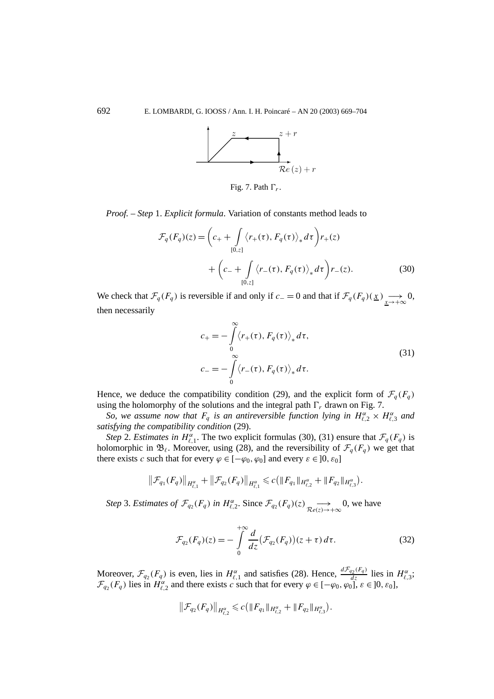

Fig. 7. Path *Fr*.

*Proof. – Step* 1. *Explicit formula*. Variation of constants method leads to

$$
\mathcal{F}_q(F_q)(z) = \left(c_+ + \int_{[0,z]} \langle r_+(\tau), F_q(\tau) \rangle_* d\tau \right) r_+(z)
$$
  
+ 
$$
\left(c_- + \int_{[0,z]} \langle r_-(\tau), F_q(\tau) \rangle_* d\tau \right) r_-(z).
$$
 (30)

We check that  $\mathcal{F}_q(F_q)$  is reversible if and only if  $c_0 = 0$  and that if  $\mathcal{F}_q(F_q)(\underline{x}) \longrightarrow 0$ , then necessarily

$$
c_{+} = -\int_{0}^{\infty} \langle r_{+}(\tau), F_{q}(\tau) \rangle_{*} d\tau,
$$
  
\n
$$
c_{-} = -\int_{0}^{\infty} \langle r_{-}(\tau), F_{q}(\tau) \rangle_{*} d\tau.
$$
\n(31)

Hence, we deduce the compatibility condition (29), and the explicit form of  $\mathcal{F}_a(F_a)$ using the holomorphy of the solutions and the integral path  $\Gamma_r$  drawn on Fig. 7.

*So, we assume now that*  $F_q$  *is an antireversible function lying in*  $H_{\ell,2}^{\alpha} \times H_{\ell,3}^{\alpha}$  *and satisfying the compatibility condition* (29).

*Step* 2. *Estimates in*  $H_{\ell,1}^{\alpha}$ . The two explicit formulas (30), (31) ensure that  $\mathcal{F}_q(F_q)$  is holomorphic in  $\mathfrak{B}_{\ell}$ . Moreover, using (28), and the reversibility of  $\mathcal{F}_{q}(F_{q})$  we get that there exists *c* such that for every  $\varphi \in [-\varphi_0, \varphi_0]$  and every  $\varepsilon \in ]0, \varepsilon_0]$ 

$$
\|\mathcal{F}_{q_1}(F_q)\|_{H_{\ell,1}^{\alpha}} + \|\mathcal{F}_{q_2}(F_q)\|_{H_{\ell,1}^{\alpha}} \leq c \big(\|F_{q_1}\|_{H_{\ell,2}^{\alpha}} + \|F_{q_2}\|_{H_{\ell,3}^{\alpha}}\big).
$$

*Step* 3. *Estimates of*  $\mathcal{F}_{q_2}(F_q)$  *in*  $H_{\ell,2}^{\alpha}$ . Since  $\mathcal{F}_{q_2}(F_q)(z)$   $\underset{\mathcal{R}e(z)\to+\infty}{\longrightarrow}$ 0, we have

$$
\mathcal{F}_{q_2}(F_q)(z) = -\int_0^{+\infty} \frac{d}{dz} (\mathcal{F}_{q_2}(F_q))(z+\tau) d\tau.
$$
 (32)

Moreover,  $\mathcal{F}_{q_2}(F_q)$  is even, lies in  $H_{\ell,1}^{\alpha}$  and satisfies (28). Hence,  $\frac{d\mathcal{F}_{q_2}(F_q)}{dz}$  lies in  $H_{\ell,3}^{\alpha}$ ;  $\mathcal{F}_{q_2}(F_q)$  lies in  $H_{\ell,2}^{\alpha}$  and there exists *c* such that for every  $\varphi \in [-\varphi_0, \varphi_0]$ ,  $\varepsilon \in ]0, \varepsilon_0]$ ,

$$
\|\mathcal{F}_{q_2}(F_q)\|_{H_{\ell,2}^{\alpha}} \leq c \big(\|F_{q_1}\|_{H_{\ell,2}^{\alpha}} + \|F_{q_2}\|_{H_{\ell,3}^{\alpha}}\big).
$$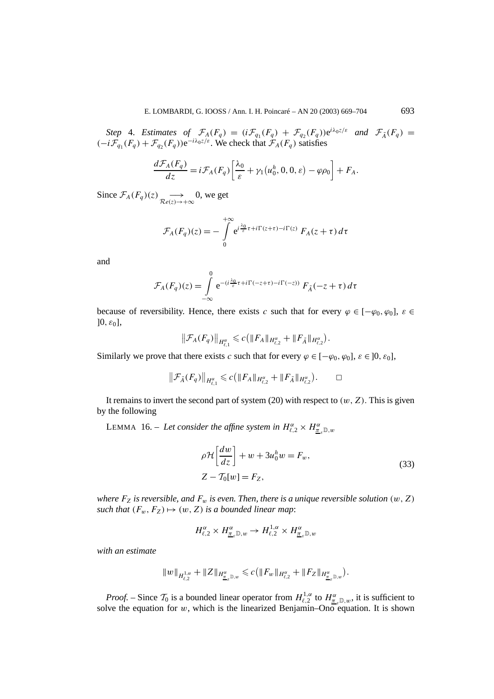*Step* 4. *Estimates of*  $\mathcal{F}_A(F_q) = (i\mathcal{F}_{q_1}(F_q) + \mathcal{F}_{q_2}(F_q))e^{i\lambda_0 z/\varepsilon}$  *and*  $\mathcal{F}_{\tilde{A}}(F_q) =$  $(-i\mathcal{F}_{q_1}(F_q) + \mathcal{F}_{q_2}(F_q))e^{-i\lambda_0 z/\varepsilon}$ . We check that  $\mathcal{F}_A(F_q)$  satisfies

$$
\frac{d\mathcal{F}_A(F_q)}{dz} = i\mathcal{F}_A(F_q)\left[\frac{\lambda_0}{\varepsilon} + \gamma_1\left(u_0^h, 0, 0, \varepsilon\right) - \varphi\rho_0\right] + F_A.
$$

Since  $\mathcal{F}_A(F_q)(z) \longrightarrow_{\mathcal{R}e(z) \to +\infty}$ 0, we get

$$
\mathcal{F}_A(F_q)(z) = -\int\limits_0^{+\infty} e^{i\frac{\lambda_0}{\varepsilon}\tau + i\Gamma(z+\tau) - i\Gamma(z)} F_A(z+\tau) d\tau
$$

and

$$
\mathcal{F}_A(F_q)(z) = \int\limits_{-\infty}^0 e^{-(i\frac{\lambda_0}{\varepsilon}\tau + i\Gamma(-z+\tau) - i\Gamma(-z))} F_{\tilde{A}}(-z+\tau) d\tau
$$

because of reversibility. Hence, there exists *c* such that for every  $\varphi \in [-\varphi_0, \varphi_0]$ ,  $\varepsilon \in$  $[0, \varepsilon_0]$ ,

$$
\|\mathcal{F}_A(F_q)\|_{H_{\ell,1}^{\alpha}} \leqslant c \big(\|F_A\|_{H_{\ell,2}^{\alpha}} + \|F_{\tilde{A}}\|_{H_{\ell,2}^{\alpha}}\big).
$$

Similarly we prove that there exists *c* such that for every  $\varphi \in [-\varphi_0, \varphi_0], \varepsilon \in [0, \varepsilon_0],$ 

$$
\|\mathcal{F}_{\tilde{A}}(F_q)\|_{H_{\ell,1}^{\alpha}} \leq c \big( \|F_A\|_{H_{\ell,2}^{\alpha}} + \|F_{\tilde{A}}\|_{H_{\ell,2}^{\alpha}} \big). \qquad \Box
$$

It remains to invert the second part of system  $(20)$  with respect to  $(w, Z)$ . This is given by the following

**LEMMA** 16. – *Let consider the affine system in*  $H_{\ell,2}^{\alpha} \times H_{\underline{\pi}_{\varepsilon}}^{\alpha} \mathbb{D}_{\varepsilon},$ 

$$
\rho \mathcal{H} \left[ \frac{dw}{dz} \right] + w + 3u_0^h w = F_w,
$$
  
\n
$$
Z - T_0[w] = F_Z,
$$
\n(33)

*where*  $F_Z$  *is reversible, and*  $F_w$  *is even. Then, there is a unique reversible solution*  $(w, Z)$ *such that*  $(F_w, F_z) \mapsto (w, Z)$  *is a bounded linear map*:

$$
H_{\ell,2}^{\alpha} \times H_{\underline{\pi}_{\varepsilon}\mathbb{D},w}^{\alpha} \to H_{\ell,2}^{1,\alpha} \times H_{\underline{\pi}_{\varepsilon}\mathbb{D},w}^{\alpha}
$$

*with an estimate*

$$
\|w\|_{H_{\ell,2}^{1,\alpha}}+\|Z\|_{H_{\underline{\pi}_{\varepsilon}\mathbb{D},w}^{\alpha}}\leqslant c\big(\|F_{w}\|_{H_{\ell,2}^{\alpha}}+\|F_{Z}\|_{H_{\underline{\pi}_{\varepsilon}\mathbb{D},w}^{\alpha}}\big).
$$

*Proof.* – Since  $\mathcal{T}_0$  is a bounded linear operator from  $H_{\ell,2}^{1,\alpha}$  to  $H_{\underline{\pi}_{\ell},\mathbb{D},w}^{\alpha}$ , it is sufficient to solve the equation for  $w$ , which is the linearized Benjamin–Ono equation. It is shown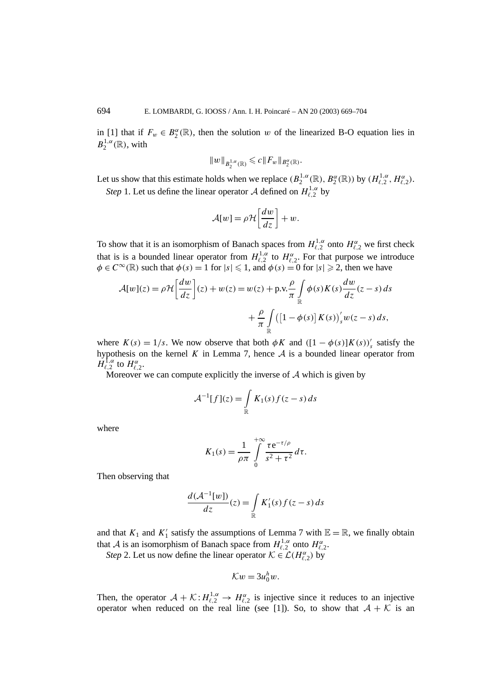in [1] that if  $F_w \in B_2^{\alpha}(\mathbb{R})$ , then the solution *w* of the linearized B-O equation lies in  $B_2^{1,\alpha}(\mathbb{R})$ , with

$$
||w||_{B_2^{1,\alpha}(\mathbb{R})}\leqslant c||F_w||_{B_2^\alpha(\mathbb{R})}.
$$

Let us show that this estimate holds when we replace  $(B_2^{1,\alpha}(\mathbb{R}), B_2^{\alpha}(\mathbb{R}))$  by  $(H_{\ell,2}^{1,\alpha}, H_{\ell,2}^{\alpha})$ . *Step* 1. Let us define the linear operator A defined on  $H_{\ell,2}^{1,\alpha}$  by

$$
\mathcal{A}[w] = \rho \mathcal{H}\left[\frac{dw}{dz}\right] + w.
$$

To show that it is an isomorphism of Banach spaces from  $H_{\ell,2}^{1,\alpha}$  onto  $H_{\ell,2}^{\alpha}$  we first check that is is a bounded linear operator from  $H_{\ell,2}^{1,\alpha}$  to  $H_{\ell,2}^{\alpha}$ . For that purpose we introduce  $\phi \in C^{\infty}(\mathbb{R})$  such that  $\phi(s) = 1$  for  $|s| \leq 1$ , and  $\phi(s) = 0$  for  $|s| \geq 2$ , then we have

$$
\mathcal{A}[w](z) = \rho \mathcal{H}\left[\frac{dw}{dz}\right](z) + w(z) = w(z) + \text{p.v.}\frac{\rho}{\pi} \int_{\mathbb{R}} \phi(s)K(s)\frac{dw}{dz}(z-s) ds
$$

$$
+ \frac{\rho}{\pi} \int_{\mathbb{R}} \left(\left[1 - \phi(s)\right]K(s)\right)'_{s}w(z-s) ds,
$$

where  $K(s) = 1/s$ . We now observe that both  $\phi K$  and  $([1 - \phi(s)]K(s))$ <sup>'</sup> satisfy the hypothesis on the kernel  $K$  in Lemma 7, hence  $A$  is a bounded linear operator from  $H_{\ell,2}^{\mathbf{1},\alpha}$  to  $H_{\ell,2}^{\alpha}$ .

Moreover we can compute explicitly the inverse of  $A$  which is given by

$$
\mathcal{A}^{-1}[f](z) = \int_{\mathbb{R}} K_1(s) f(z - s) ds
$$

where

$$
K_1(s) = \frac{1}{\rho \pi} \int\limits_0^{+\infty} \frac{\tau e^{-\tau/\rho}}{s^2 + \tau^2} d\tau.
$$

Then observing that

$$
\frac{d(\mathcal{A}^{-1}[w])}{dz}(z) = \int_{\mathbb{R}} K_1'(s) f(z - s) ds
$$

and that  $K_1$  and  $K'_1$  satisfy the assumptions of Lemma 7 with  $\mathbb{E} = \mathbb{R}$ , we finally obtain that A is an isomorphism of Banach space from  $H_{\ell,2}^{1,\alpha}$  onto  $H_{\ell,2}^{\alpha}$ .

*Step* 2. Let us now define the linear operator  $K \in \mathcal{L}(H_{\ell,2}^{\alpha})$  by

$$
\mathcal{K}w=3u_0^h w.
$$

Then, the operator  $A + \mathcal{K} : H_{\ell,2}^{1,\alpha} \to H_{\ell,2}^{\alpha}$  is injective since it reduces to an injective operator when reduced on the real line (see [1]). So, to show that  $A + K$  is an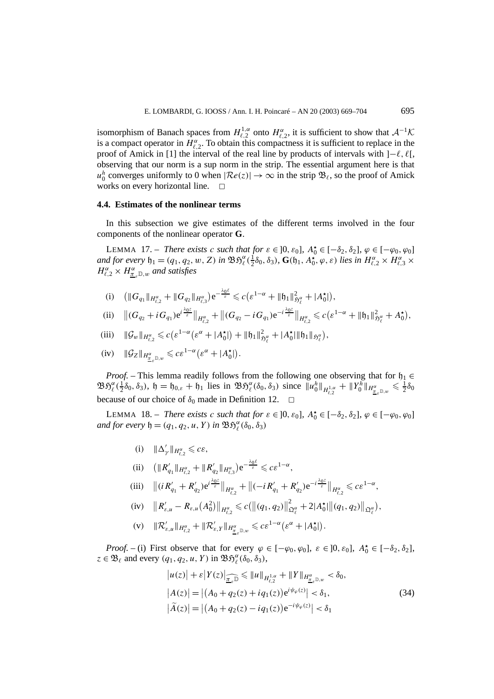isomorphism of Banach spaces from  $H_{\ell,2}^{1,\alpha}$  onto  $H_{\ell,2}^{\alpha}$ , it is sufficient to show that  $\mathcal{A}^{-1}\mathcal{K}$ is a compact operator in  $H_{\ell,2}^{\alpha}$ . To obtain this compactness it is sufficient to replace in the proof of Amick in [1] the interval of the real line by products of intervals with  $]-\ell, \ell$ , observing that our norm is a sup norm in the strip. The essential argument here is that  $u_0^h$  converges uniformly to 0 when  $|\mathcal{R}e(z)| \to \infty$  in the strip  $\mathfrak{B}_{\ell}$ , so the proof of Amick works on every horizontal line.  $\Box$ 

# **4.4. Estimates of the nonlinear terms**

In this subsection we give estimates of the different terms involved in the four components of the nonlinear operator **G**.

LEMMA 17. – *There exists c such that for*  $\varepsilon \in ]0, \varepsilon_0]$ ,  $A_0^{\star} \in [-\delta_2, \delta_2]$ ,  $\varphi \in [-\varphi_0, \varphi_0]$ and for every  $\mathfrak{h}_1 = (q_1, q_2, w, Z)$  in  $\mathfrak{B} \mathfrak{H}_{\ell}^{\alpha}(\frac{1}{2}\delta_0, \delta_3)$ ,  $\mathbf{G}(\mathfrak{h}_1, A_0^{\star}, \varphi, \varepsilon)$  lies in  $H_{\ell,2}^{\alpha} \times H_{\ell,3}^{\alpha} \times$  $H_{\ell,2}^{\alpha} \times H_{\underline{\pi}_{\varepsilon}}^{\alpha}$  *m*, *and satisfies* 

(i)  $\left( \|G_{q_1} \|_{H_{\ell,2}^{\alpha}} + \|G_{q_2} \|_{H_{\ell,3}^{\alpha}} \right) e^{-\frac{\lambda_0 \ell}{\varepsilon}} \leqslant c \left( \varepsilon^{1-\alpha} + \| \mathfrak{h}_1 \|_{\mathfrak{H}_{\ell}^{\alpha}}^2 + |A_0^{\star}| \right),$ 

(ii) 
$$
||(G_{q_2}+iG_{q_1})e^{i\frac{\lambda_0 z}{\varepsilon}}||_{H_{\ell,2}^{\alpha}}+||(G_{q_2}-iG_{q_1})e^{-i\frac{\lambda_0 z}{\varepsilon}}||_{H_{\ell,2}^{\alpha}} \leq c(\varepsilon^{1-\alpha}+||\mathfrak{h}_1||_{\mathfrak{H}_{\ell}^{\alpha}}^2+A_0^{\star}),
$$

(iii) 
$$
\|\mathcal{G}_{w}\|_{H^{\alpha}_{\ell,2}} \leq c \big( \varepsilon^{1-\alpha} \big( \varepsilon^{\alpha} + |A_0^{\star}| \big) + \| \mathfrak{h}_1 \|_{\mathfrak{H}^{\alpha}_{\ell}}^2 + |A_0^{\star}| \| \mathfrak{h}_1 \|_{\mathfrak{H}^{\alpha}_{\ell}} \big),
$$

$$
(iv) \quad \|\mathcal{G}_Z\|_{H^{\alpha}_{\underline{\pi}_{\varepsilon}\mathbb{D},w}} \leqslant c\varepsilon^{1-\alpha}\big(\varepsilon^{\alpha}+|A_0^{\star}|\big).
$$

*Proof.* – This lemma readily follows from the following one observing that for  $h_1 \in$  $\mathfrak{B} \mathfrak{H}_{\ell}^{\alpha}(\frac{1}{2}\delta_0, \delta_3)$ ,  $\mathfrak{h} = \mathfrak{h}_{0,\varepsilon} + \mathfrak{h}_1$  lies in  $\mathfrak{B} \mathfrak{H}_{\ell}^{\alpha}(\delta_0, \delta_3)$  since  $||u_0^h||_{H_{\ell,2}^{1,\alpha}} + ||Y_0^h||_{H_{\underline{\pi}_{\varepsilon}}^{\alpha}}||_{L^{\alpha}_{\underline{\pi}_{\varepsilon}}^{\alpha}}$ because of our choice of  $\delta_0$  made in Definition 12.

LEMMA 18. – *There exists c such that for*  $\varepsilon \in ]0, \varepsilon_0]$ ,  $A_0^{\star} \in [-\delta_2, \delta_2]$ ,  $\varphi \in [-\varphi_0, \varphi_0]$  $and$  *for every*  $\mathfrak{h} = (q_1, q_2, u, Y)$  *in*  $\mathfrak{B} \mathfrak{H}_{\ell}^{\alpha}(\delta_0, \delta_3)$ 

 $(i)$   $\|\Delta'_{\gamma}\|_{H^{\alpha}_{\ell,2}} \leqslant c\varepsilon,$ 

(ii) 
$$
(\|R'_{q_1}\|_{H_{\ell,2}^{\alpha}} + \|R'_{q_2}\|_{H_{\ell,3}^{\alpha}})e^{-\frac{\lambda_0 \ell}{\varepsilon}} \leqslant c \varepsilon^{1-\alpha},
$$

(iii) 
$$
\|(iR'_{q_1}+R'_{q_2})e^{i\frac{\lambda_0 z}{\varepsilon}}\|_{H_{\ell,2}^{\alpha}}+\|(-iR'_{q_1}+R'_{q_2})e^{-i\frac{\lambda_0 z}{\varepsilon}}\|_{H_{\ell,2}^{\alpha}}\leq c\varepsilon^{1-\alpha},
$$

(iv) 
$$
||R'_{\varepsilon,u} - R_{\varepsilon,u}(A_0^2)||_{H_{\ell,2}^{\alpha}} \leq c(||(q_1, q_2)||_{\mathfrak{Q}_{\ell}^{\alpha}}^2 + 2|A_0^{\star}|||(q_1, q_2)||_{\mathfrak{Q}_{\ell}^{\alpha}}),
$$

$$
\text{(v)} \quad \|\mathcal{R}_{\varepsilon,u}'\|_{H_{\ell,2}^{\alpha}} + \|\mathcal{R}_{\varepsilon,Y}'\|_{H_{\underline{\pi}_{\varepsilon}}^{\alpha}} \leqslant c\varepsilon^{1-\alpha}\big(\varepsilon^{\alpha} + |A_0^{\star}|\big).
$$

*Proof.* – (i) First observe that for every  $\varphi \in [-\varphi_0, \varphi_0]$ ,  $\varepsilon \in ]0, \varepsilon_0]$ ,  $A_0^{\star} \in [-\delta_2, \delta_2]$ ,  $z \in \mathfrak{B}_{\ell}$  and every  $(q_1, q_2, u, Y)$  in  $\mathfrak{B} \mathfrak{H}_{\ell}^{\alpha}(\delta_0, \delta_3)$ ,

$$
|u(z)| + \varepsilon |Y(z)|_{\widehat{\underline{\pi}_{\varepsilon}}}\widehat{\underline{\pi}} \leq ||u||_{H^{1,\alpha}_{\varepsilon,2}} + ||Y||_{H^{\alpha}_{\underline{\pi}_{\varepsilon}}\mathbb{D},w} < \delta_0,
$$
  
\n
$$
|A(z)| = |(A_0 + q_2(z) + iq_1(z))e^{i\psi_{\varphi}(z)}| < \delta_1,
$$
  
\n
$$
|\widetilde{A}(z)| = |(A_0 + q_2(z) - iq_1(z))e^{-i\psi_{\varphi}(z)}| < \delta_1
$$
\n(34)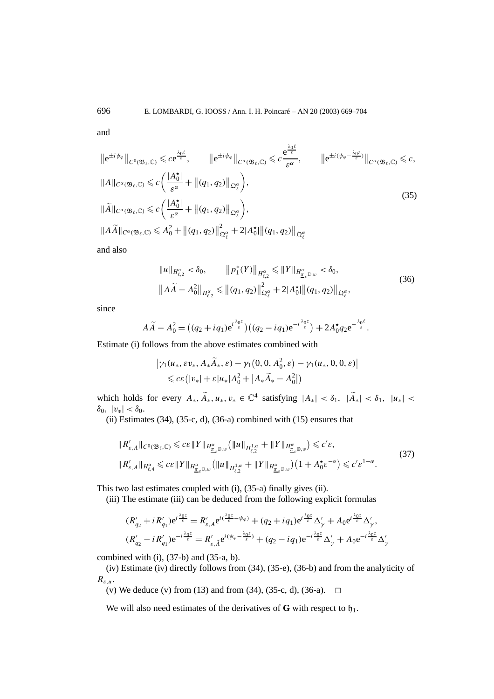and

$$
\|e^{\pm i\psi_{\varphi}}\|_{C^{0}(\mathfrak{B}_{\ell},\mathbb{C})} \leqslant c e^{\frac{\lambda_{0}\ell}{\varepsilon}}, \qquad \|e^{\pm i\psi_{\varphi}}\|_{C^{\alpha}(\mathfrak{B}_{\ell},\mathbb{C})} \leqslant c \frac{e^{\frac{\lambda_{0}\ell}{\varepsilon}}}{\varepsilon^{\alpha}}, \qquad \|e^{\pm i(\psi_{\varphi}-\frac{\lambda_{0}\zeta}{\varepsilon})}\|_{C^{\alpha}(\mathfrak{B}_{\ell},\mathbb{C})} \leqslant c,
$$
  

$$
\|A\|_{C^{\alpha}(\mathfrak{B}_{\ell},\mathbb{C})} \leqslant c \left(\frac{|A_{0}^{\star}|}{\varepsilon^{\alpha}}+\|(q_{1},q_{2})\|_{\mathfrak{Q}_{\ell}^{\alpha}}\right),
$$
  

$$
\|\widetilde{A}\|_{C^{\alpha}(\mathfrak{B}_{\ell},\mathbb{C})} \leqslant c \left(\frac{|A_{0}^{\star}|}{\varepsilon^{\alpha}}+\|(q_{1},q_{2})\|_{\mathfrak{Q}_{\ell}^{\alpha}}\right),
$$
  

$$
\|A\widetilde{A}\|_{C^{\alpha}(\mathfrak{B}_{\ell},\mathbb{C})} \leqslant A_{0}^{2}+\|(q_{1},q_{2})\|_{\mathfrak{Q}_{\ell}^{\alpha}}^{2}+2|A_{0}^{\star}|\|(q_{1},q_{2})\|_{\mathfrak{Q}_{\ell}^{\alpha}}
$$
  

$$
(35)
$$

and also

$$
||u||_{H_{\ell,2}^{\alpha}} < \delta_0, \qquad ||p_1^*(Y)||_{H_{\ell,2}^{\alpha}} \le ||Y||_{H_{\underline{\tau},\varepsilon}^{\alpha}} < \delta_0, ||A\widetilde{A} - A_0^2||_{H_{\ell,2}^{\alpha}} \le ||(q_1, q_2)||_{\Omega_{\ell}^{\alpha}}^2 + 2|A_0^{\star}|| \|(q_1, q_2)||_{\Omega_{\ell}^{\alpha}},
$$
\n(36)

since

$$
A\widetilde{A} - A_0^2 = ((q_2 + iq_1)e^{i\frac{\lambda_0 z}{\varepsilon}})((q_2 - iq_1)e^{-i\frac{\lambda_0 z}{\varepsilon}}) + 2A_0^{\star}q_2e^{-\frac{\lambda_0 \ell}{\varepsilon}}.
$$

Estimate (i) follows from the above estimates combined with

$$
\left|\gamma_1(u_*, \varepsilon v_*, A_*\widetilde{A}_*, \varepsilon) - \gamma_1(0, 0, A_0^2, \varepsilon) - \gamma_1(u_*, 0, 0, \varepsilon)\right|
$$
  
\$\leqslant c\varepsilon(|v\_\*| + \varepsilon|u\_\*|A\_0^2 + |A\_\*\widetilde{A}\_\* - A\_0^2|)\$

which holds for every  $A_*, \widetilde{A}_*, u_*, v_* \in \mathbb{C}^4$  satisfying  $|A_*| < \delta_1$ ,  $|\widetilde{A}_*| < \delta_1$ ,  $|u_*| <$ *δ*0*,* |*v*∗| *< δ*0.

(ii) Estimates  $(34)$ ,  $(35-c, d)$ ,  $(36-a)$  combined with  $(15)$  ensures that

$$
\|R'_{\varepsilon,A}\|_{C^0(\mathfrak{B}_{\ell},\mathbb{C})} \leqslant c\varepsilon\|Y\|_{H^{\alpha}_{\underline{\pi}_{\varepsilon}\mathbb{D},w}}\left(\|u\|_{H^{1,\alpha}_{\varepsilon,2}} + \|Y\|_{H^{\alpha}_{\underline{\pi}_{\varepsilon}\mathbb{D},w}}\right) \leqslant c'\varepsilon,
$$
\n
$$
\|R'_{\varepsilon,A}\|_{H^{\alpha}_{\ell,4}} \leqslant c\varepsilon\|Y\|_{H^{\alpha}_{\underline{\pi}_{\varepsilon}\mathbb{D},w}}\left(\|u\|_{H^{1,\alpha}_{\ell,2}} + \|Y\|_{H^{\alpha}_{\underline{\pi}_{\varepsilon}\mathbb{D},w}}\right)\left(1 + A_0^{\star}\varepsilon^{-\alpha}\right) \leqslant c'\varepsilon^{1-\alpha}.
$$
\n
$$
(37)
$$

This two last estimates coupled with (i), (35-a) finally gives (ii).

(iii) The estimate (iii) can be deduced from the following explicit formulas

$$
(R'_{q_2} + i R'_{q_1})e^{i\frac{\lambda_0 z}{\varepsilon}} = R'_{\varepsilon,A}e^{i(\frac{\lambda_0 z}{\varepsilon} - \psi_\varphi)} + (q_2 + iq_1)e^{i\frac{\lambda_0 z}{\varepsilon}}\Delta'_{\gamma} + A_0e^{i\frac{\lambda_0 z}{\varepsilon}}\Delta'_{\gamma},
$$
  

$$
(R'_{q_2} - i R'_{q_1})e^{-i\frac{\lambda_0 z}{\varepsilon}} = R'_{\varepsilon,A}e^{i(\psi_\varphi - \frac{\lambda_0 z}{\varepsilon})} + (q_2 - iq_1)e^{-i\frac{\lambda_0 z}{\varepsilon}}\Delta'_{\gamma} + A_0e^{-i\frac{\lambda_0 z}{\varepsilon}}\Delta'_{\gamma}
$$

combined with  $(i)$ ,  $(37-b)$  and  $(35-a, b)$ .

(iv) Estimate (iv) directly follows from (34), (35-e), (36-b) and from the analyticity of *Rε,u*.

(v) We deduce (v) from (13) and from (34), (35-c, d), (36-a).  $\Box$ 

We will also need estimates of the derivatives of  $G$  with respect to  $h_1$ .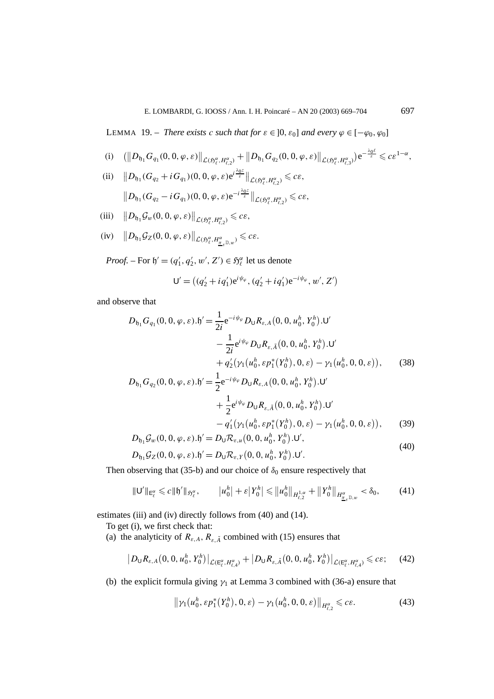LEMMA 19. – *There exists c such that for*  $\varepsilon \in ]0, \varepsilon_0]$  *and every*  $\varphi \in [-\varphi_0, \varphi_0]$ 

(i) 
$$
(\|D_{\mathfrak{h}_1} G_{q_1}(0,0,\varphi,\varepsilon)\|_{\mathcal{L}(\mathfrak{H}_{\ell}^{\alpha},H_{\ell,2}^{\alpha})} + \|D_{\mathfrak{h}_1} G_{q_2}(0,0,\varphi,\varepsilon)\|_{\mathcal{L}(\mathfrak{H}_{\ell}^{\alpha},H_{\ell,3}^{\alpha})}) e^{-\frac{\lambda_0 \ell}{\varepsilon}} \leqslant c \varepsilon^{1-\alpha},
$$

(ii) 
$$
||D_{\mathfrak{h}_1}(G_{q_2}+iG_{q_1})(0,0,\varphi,\varepsilon)e^{i\frac{\lambda_0 \varepsilon}{\varepsilon}}||_{\mathcal{L}(\mathfrak{H}_{\ell}^{\alpha},H_{\ell,2}^{\alpha})} \leq c\varepsilon,
$$
  

$$
||D_{\mathfrak{h}_1}(G_{q_2}-iG_{q_1})(0,0,\varphi,\varepsilon)e^{-i\frac{\lambda_0 \varepsilon}{\varepsilon}}||_{\mathcal{L}(\mathfrak{H}_{\ell}^{\alpha},H_{\ell,2}^{\alpha})} \leq c\varepsilon,
$$

 $\left\|\left[D_{\mathfrak{h}_1}\mathcal{G}_w(0,0,\varphi,\varepsilon)\right]\right\|_{\mathcal{L}(\mathfrak{H}_\varepsilon^\alpha,H_{\varepsilon,2}^\alpha)} \leqslant c\varepsilon,$ 

$$
(iv) \t ||D_{\mathfrak{h}_1} \mathcal{G}_Z(0,0,\varphi,\varepsilon)||_{\mathcal{L}(\mathfrak{H}_{\ell}^{\alpha},H_{\underline{\pi}_{\varepsilon}^{\mathbb{D},w}})} \leqslant c\varepsilon.
$$

*Proof.* – For  $\mathfrak{h}' = (q'_1, q'_2, w', Z') \in \mathfrak{H}_{\ell}^{\alpha}$  let us denote

$$
\mathsf{U}' = ((q'_2 + iq'_1)e^{i\psi_{\varphi}}, (q'_2 + iq'_1)e^{-i\psi_{\varphi}}, w', Z')
$$

and observe that

$$
D_{\mathfrak{h}_1} G_{q_1}(0, 0, \varphi, \varepsilon) . \mathfrak{h}' = \frac{1}{2i} e^{-i\psi_{\varphi}} D_{\mathsf{U}} R_{\varepsilon, A}(0, 0, u_0^h, Y_0^h) . \mathsf{U}'
$$
  

$$
- \frac{1}{2i} e^{i\psi_{\varphi}} D_{\mathsf{U}} R_{\varepsilon, \tilde{A}}(0, 0, u_0^h, Y_0^h) . \mathsf{U}'
$$
  

$$
+ q_2' (\gamma_1(u_0^h, \varepsilon p_1^*(Y_0^h), 0, \varepsilon) - \gamma_1(u_0^h, 0, 0, \varepsilon)), \qquad (38)
$$

$$
D_{\mathfrak{h}_1} G_{q_2}(0, 0, \varphi, \varepsilon). \mathfrak{h}' = \frac{1}{2} e^{-i\psi_{\varphi}} D_{\mathsf{U}} R_{\varepsilon, A}(0, 0, u_0^h, Y_0^h). \mathsf{U}' + \frac{1}{2} e^{i\psi_{\varphi}} D_{\mathsf{U}} R_{\varepsilon, \tilde{A}}(0, 0, u_0^h, Y_0^h). \mathsf{U}' - q'_1(\gamma_1(u_0^h, \varepsilon p_1^*(Y_0^h), 0, \varepsilon) - \gamma_1(u_0^h, 0, 0, \varepsilon)), \qquad (39) D_{\mathfrak{h}_1} \mathcal{G}_w(0, 0, \varphi, \varepsilon). \mathfrak{h}' = D_{\mathsf{U}} \mathcal{R}_{\varepsilon, u}(0, 0, u_0^h, Y_0^h). \mathsf{U}',
$$
\n
$$
(40)
$$

$$
D_{\mathfrak{h}_1} \mathcal{G}_Z(0,0,\varphi,\varepsilon) \cdot \mathfrak{h}' = D_{\mathsf{U}} \mathcal{R}_{\varepsilon,Y}(0,0,u_0^h,Y_0^h) \cdot \mathsf{U}'.
$$

Then observing that (35-b) and our choice of  $\delta_0$  ensure respectively that

$$
\|\mathsf{U}'\|_{\mathsf{E}_{\ell}^{\alpha}} \leq c \|\mathfrak{h}'\|_{\mathfrak{H}_{\ell}^{\alpha}}, \qquad |u_{0}^{h}| + \varepsilon |Y_{0}^{h}| \leq \|u_{0}^{h}\|_{H_{\ell,2}^{1,\alpha}} + \|Y_{0}^{h}\|_{H_{\underline{\pi}_{\varepsilon}}^{\alpha}} \leq \delta_{0}, \tag{41}
$$

estimates (iii) and (iv) directly follows from (40) and (14).

To get (i), we first check that:

(a) the analyticity of  $R_{\varepsilon,A}$ ,  $R_{\varepsilon,\tilde{A}}$  combined with (15) ensures that

$$
\left| D_{\mathsf{U}} R_{\varepsilon,A}(0,0,u_0^h,Y_0^h) \right|_{\mathcal{L}(\mathsf{E}_{\ell}^{\alpha},H_{\ell,4}^{\alpha})} + \left| D_{\mathsf{U}} R_{\varepsilon,\tilde{A}}(0,0,u_0^h,Y_0^h) \right|_{\mathcal{L}(\mathsf{E}_{\ell}^{\alpha},H_{\ell,4}^{\alpha})} \leqslant c\varepsilon; \quad (42)
$$

(b) the explicit formula giving  $\gamma_1$  at Lemma 3 combined with (36-a) ensure that

$$
\|\gamma_1(u_0^h, \varepsilon p_1^*(Y_0^h), 0, \varepsilon) - \gamma_1(u_0^h, 0, 0, \varepsilon)\|_{H_{\varepsilon, 2}^{\alpha}} \leqslant c\varepsilon. \tag{43}
$$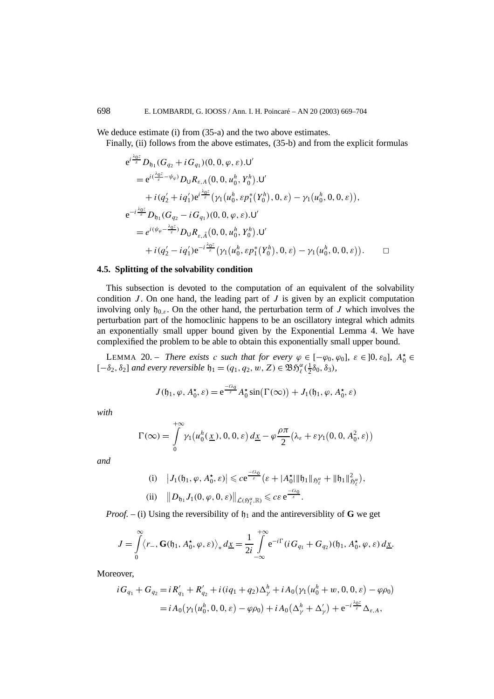We deduce estimate (i) from (35-a) and the two above estimates.

Finally, (ii) follows from the above estimates, (35-b) and from the explicit formulas

$$
e^{i\frac{\Delta_{0}\epsilon}{\varepsilon}}D_{\mathfrak{h}_{1}}(G_{q_{2}}+iG_{q_{1}})(0,0,\varphi,\varepsilon).\mathsf{U}'
$$
\n
$$
=e^{i(\frac{\lambda_{0}\epsilon}{\varepsilon}-\psi_{\varphi})}D_{\mathsf{U}}R_{\varepsilon,A}(0,0,u_{0}^{h},Y_{0}^{h}).\mathsf{U}'
$$
\n
$$
+i(q_{2}'+iq_{1}')e^{i\frac{\lambda_{0}\epsilon}{\varepsilon}}(\gamma_{1}(u_{0}^{h},\varepsilon p_{1}^{*}(Y_{0}^{h}),0,\varepsilon)-\gamma_{1}(u_{0}^{h},0,0,\varepsilon)),
$$
\n
$$
e^{-i\frac{\lambda_{0}\epsilon}{\varepsilon}}D_{\mathfrak{h}_{1}}(G_{q_{2}}-iG_{q_{1}})(0,0,\varphi,\varepsilon).\mathsf{U}'
$$
\n
$$
=e^{i(\psi_{\varphi}-\frac{\lambda_{0}\epsilon}{\varepsilon})}D_{\mathsf{U}}R_{\varepsilon,\tilde{A}}(0,0,u_{0}^{h},Y_{0}^{h}).\mathsf{U}'
$$
\n
$$
+i(q_{2}'-iq_{1}')e^{-i\frac{\lambda_{0}\epsilon}{\varepsilon}}(\gamma_{1}(u_{0}^{h},\varepsilon p_{1}^{*}(Y_{0}^{h}),0,\varepsilon)-\gamma_{1}(u_{0}^{h},0,0,\varepsilon)).\qquad \Box
$$

# **4.5. Splitting of the solvability condition**

This subsection is devoted to the computation of an equivalent of the solvability condition *J* . On one hand, the leading part of *J* is given by an explicit computation involving only  $\mathfrak{h}_{0,\varepsilon}$ . On the other hand, the perturbation term of *J* which involves the perturbation part of the homoclinic happens to be an oscillatory integral which admits an exponentially small upper bound given by the Exponential Lemma 4. We have complexified the problem to be able to obtain this exponentially small upper bound.

LEMMA 20. – *There exists c such that for every*  $\varphi \in [-\varphi_0, \varphi_0]$ ,  $\varepsilon \in ]0, \varepsilon_0]$ ,  $A_0^{\star} \in$  $[-\delta_2, \delta_2]$  *and every reversible*  $\mathfrak{h}_1 = (q_1, q_2, w, Z) \in \mathfrak{B} \mathfrak{H}_{\ell}^{\alpha}(\frac{1}{2}\delta_0, \delta_3)$ *,* 

$$
J(\mathfrak{h}_1, \varphi, A_0^{\star}, \varepsilon) = e^{\frac{-\ell \lambda_0}{\varepsilon}} A_0^{\star} \sin(\Gamma(\infty)) + J_1(\mathfrak{h}_1, \varphi, A_0^{\star}, \varepsilon)
$$

*with*

$$
\Gamma(\infty) = \int_{0}^{+\infty} \gamma_1(u_0^h(\underline{x}), 0, 0, \varepsilon) d\underline{x} - \varphi \frac{\rho \pi}{2} (\lambda_{\varepsilon} + \varepsilon \gamma_1(0, 0, A_0^2, \varepsilon))
$$

*and*

(i) 
$$
|J_1(\mathfrak{h}_1, \varphi, A_0^{\star}, \varepsilon)| \leq c e^{\frac{-\ell \lambda_0}{\varepsilon}} (\varepsilon + |A_0^{\star}| \|\mathfrak{h}_1\|_{\mathfrak{H}_\ell^{\alpha}} + \|\mathfrak{h}_1\|_{\mathfrak{H}_\ell^{\alpha}}^2),
$$
  
\n(ii)  $||D_{\mathfrak{h}_1} J_1(0, \varphi, 0, \varepsilon)||_{\mathcal{L}(\mathfrak{H}_\ell^{\alpha}, \mathbb{R})} \leq c \varepsilon e^{\frac{-\ell \lambda_0}{\varepsilon}}.$ 

*Proof.* – (i) Using the reversibility of  $h_1$  and the antireversibility of **G** we get

$$
J = \int_{0}^{\infty} \langle r_-, \mathbf{G}(\mathfrak{h}_1, A_0^{\star}, \varphi, \varepsilon) \rangle_* d\underline{x} = \frac{1}{2i} \int_{-\infty}^{+\infty} e^{-i\Gamma} (i G_{q_1} + G_{q_2}) (\mathfrak{h}_1, A_0^{\star}, \varphi, \varepsilon) d\underline{x}.
$$

Moreover,

$$
iG_{q_1} + G_{q_2} = iR'_{q_1} + R'_{q_2} + i(iq_1 + q_2)\Delta_{\gamma}^h + iA_0(\gamma_1(u_0^h + w, 0, 0, \varepsilon) - \varphi \rho_0)
$$
  
=  $iA_0(\gamma_1(u_0^h, 0, 0, \varepsilon) - \varphi \rho_0) + iA_0(\Delta_{\gamma}^h + \Delta_{\gamma}') + e^{-i\frac{\lambda_0 \varepsilon}{\varepsilon}}\Delta_{\varepsilon, A},$ 

*λ*0*z*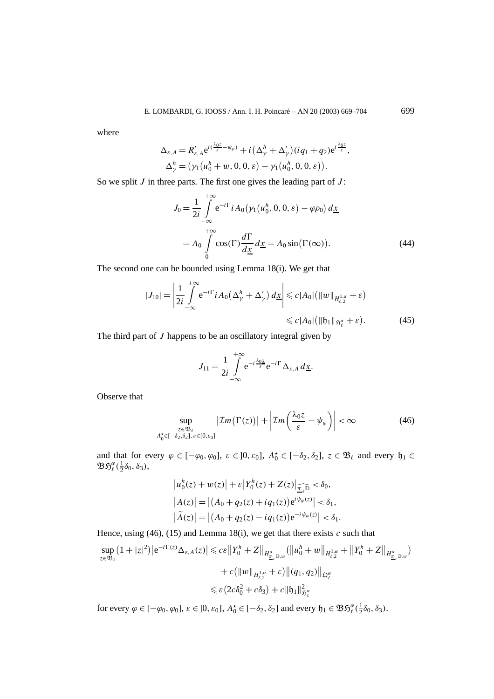where

$$
\Delta_{\varepsilon,A} = R'_{\varepsilon,A} e^{i(\frac{\lambda_0 \varepsilon}{\varepsilon} - \psi_\varphi)} + i \left( \Delta_\gamma^h + \Delta_\gamma' \right) (iq_1 + q_2) e^{i \frac{\lambda_0 \varepsilon}{\varepsilon}},
$$
  

$$
\Delta_\gamma^h = (\gamma_1 (u_0^h + w, 0, 0, \varepsilon) - \gamma_1 (u_0^h, 0, 0, \varepsilon)).
$$

So we split *J* in three parts. The first one gives the leading part of *J* :

$$
J_0 = \frac{1}{2i} \int_{-\infty}^{+\infty} e^{-i\Gamma} i A_0(\gamma_1(u_0^h, 0, 0, \varepsilon) - \varphi \rho_0) d\underline{x}
$$
  
=  $A_0 \int_0^{+\infty} \cos(\Gamma) \frac{d\Gamma}{d\underline{x}} d\underline{x} = A_0 \sin(\Gamma(\infty)).$  (44)

The second one can be bounded using Lemma 18(i). We get that

$$
|J_{10}| = \left|\frac{1}{2i} \int_{-\infty}^{+\infty} e^{-i\Gamma} i A_0 \left(\Delta_{\gamma}^h + \Delta_{\gamma}'\right) d\underline{x}\right| \leq c |A_0| \left(\|w\|_{H_{\ell,2}^{1,\alpha}} + \varepsilon\right)
$$
  

$$
\leq c |A_0| \left(\|{\mathfrak{h}}_1\|_{\mathfrak{H}_{\ell}^{\alpha}} + \varepsilon\right).
$$
 (45)

The third part of *J* happens to be an oscillatory integral given by

$$
J_{11} = \frac{1}{2i} \int_{-\infty}^{+\infty} e^{-i\frac{\lambda_{0}x}{\varepsilon}} e^{-i\Gamma} \Delta_{\varepsilon, A} d\underline{x}.
$$

Observe that

$$
\sup_{\substack{z \in \mathfrak{B}_{\ell} \\ A_0^* \in [-\delta_2, \delta_2], \ \varepsilon \in [0, \varepsilon_0]}} |\mathcal{I}m(\Gamma(z))| + \left| \mathcal{I}m\left(\frac{\lambda_0 z}{\varepsilon} - \psi_\varphi\right) \right| < \infty \tag{46}
$$

and that for every  $\varphi \in [-\varphi_0, \varphi_0]$ ,  $\varepsilon \in ]0, \varepsilon_0]$ ,  $A_0^{\star} \in [-\delta_2, \delta_2]$ ,  $z \in \mathfrak{B}_{\ell}$  and every  $\mathfrak{h}_1 \in$  $\mathfrak{B}\mathfrak{H}_{\ell}^{\alpha}(\frac{1}{2}\delta_{0},\delta_{3}),$ 

$$
|u_0^h(z) + w(z)| + \varepsilon |Y_0^h(z) + Z(z)|_{\widehat{\underline{\underline{\tau}}_e(\underline{\overline{\tau}})}} < \delta_0,
$$
  
\n
$$
|A(z)| = |(A_0 + q_2(z) + iq_1(z))e^{i\psi_{\varphi}(z)}| < \delta_1,
$$
  
\n
$$
|\widetilde{A}(z)| = |(A_0 + q_2(z) - iq_1(z))e^{-i\psi_{\varphi}(z)}| < \delta_1.
$$

Hence, using (46), (15) and Lemma 18(i), we get that there exists *c* such that

$$
\sup_{z \in \mathfrak{B}_{\ell}} (1+|z|^2) \left| e^{-i\Gamma(z)} \Delta_{\varepsilon, A}(z) \right| \leqslant c\varepsilon \left\| Y_0^h + Z \right\|_{H^{\alpha}_{\underline{\pi}_{\varepsilon}, \mathbb{D}, w}} (\left\| u_0^h + w \right\|_{H^{1,\alpha}_{\ell,2}} + \left\| Y_0^h + Z \right\|_{H^{\alpha}_{\underline{\pi}_{\varepsilon}, \mathbb{D}, w}})
$$

$$
+ c \left( \left\| w \right\|_{H^{1,\alpha}_{\ell,2}} + \varepsilon \right) \left\| (q_1, q_2) \right\|_{\mathfrak{Q}_{\ell}^{\alpha}}
$$

$$
\leqslant \varepsilon \left( 2c\delta_0^2 + c\delta_3 \right) + c \left\| \mathfrak{h}_1 \right\|_{\mathfrak{H}^{\alpha}_{\ell}}^2
$$

for every  $\varphi \in [-\varphi_0, \varphi_0]$ ,  $\varepsilon \in ]0, \varepsilon_0]$ ,  $A_0^{\star} \in [-\delta_2, \delta_2]$  and every  $\mathfrak{h}_1 \in \mathfrak{B} \mathfrak{H}_{\ell}^{\alpha}(\frac{1}{2}\delta_0, \delta_3)$ .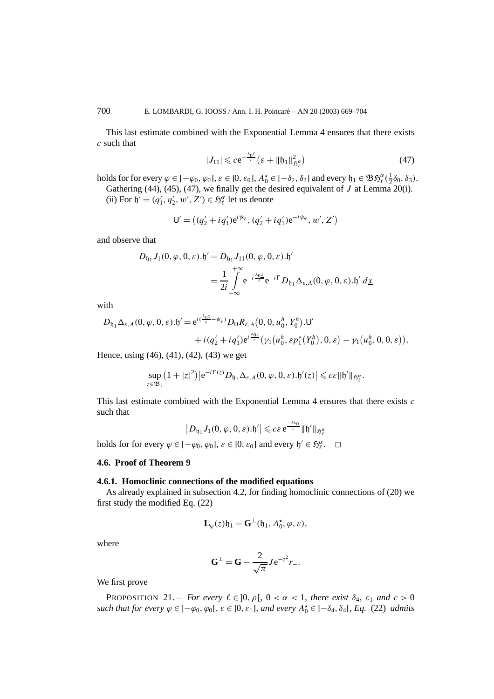This last estimate combined with the Exponential Lemma 4 ensures that there exists *c* such that

$$
|J_{11}| \leqslant c e^{-\frac{\lambda_0 \ell}{\varepsilon}} \left( \varepsilon + \|\mathfrak{h}_1\|_{\mathfrak{H}^{\alpha}_{\ell}}^2 \right) \tag{47}
$$

holds for for every  $\varphi \in [-\varphi_0, \varphi_0], \varepsilon \in ]0, \varepsilon_0]$ ,  $A_0^{\star} \in [-\delta_2, \delta_2]$  and every  $\mathfrak{h}_1 \in \mathfrak{B} \mathfrak{H}_{\ell}^{\alpha}(\frac{1}{2}\delta_0, \delta_3)$ .

Gathering (44), (45), (47), we finally get the desired equivalent of *J* at Lemma 20(i).

(ii) For  $\mathfrak{h}' = (q'_1, q'_2, w', Z') \in \mathfrak{H}_{\ell}^{\alpha}$  let us denote

$$
\mathsf{U}' = ((q'_2 + iq'_1) e^{i\psi_{\varphi}}, (q'_2 + iq'_1) e^{-i\psi_{\varphi}}, w', Z')
$$

and observe that

$$
D_{\mathfrak{h}_1} J_1(0, \varphi, 0, \varepsilon) . \mathfrak{h}' = D_{\mathfrak{h}_1} J_{11}(0, \varphi, 0, \varepsilon) . \mathfrak{h}'
$$
  
= 
$$
\frac{1}{2i} \int_{-\infty}^{+\infty} e^{-i \frac{\lambda_0 \underline{x}}{\varepsilon}} e^{-i\Gamma} D_{\mathfrak{h}_1} \Delta_{\varepsilon, A}(0, \varphi, 0, \varepsilon) . \mathfrak{h}' d \underline{x}
$$

with

$$
D_{\mathfrak{h}_1} \Delta_{\varepsilon, A}(0, \varphi, 0, \varepsilon). \mathfrak{h}' = e^{i(\frac{\lambda_0 \varepsilon}{\varepsilon} - \psi_{\varphi})} D_{\mathsf{U}} R_{\varepsilon, A}(0, 0, u_0^h, Y_0^h). \mathsf{U}' + i(q_2' + iq_1') e^{i\frac{\lambda_0 \varepsilon}{\varepsilon}} (\gamma_1(u_0^h, \varepsilon p_1^*(Y_0^h), 0, \varepsilon) - \gamma_1(u_0^h, 0, 0, \varepsilon)).
$$

Hence, using (46), (41), (42), (43) we get

$$
\sup_{z\in\mathfrak{B}_{\ell}}\left(1+|z|^2\right)|e^{-i\Gamma(z)}D_{\mathfrak{h}_1}\Delta_{\varepsilon,A}(0,\varphi,0,\varepsilon).\mathfrak{h}'(z)|\leqslant c\varepsilon\|\mathfrak{h}'\|_{\mathfrak{H}_{\ell}^{\alpha}}.
$$

This last estimate combined with the Exponential Lemma 4 ensures that there exists *c* such that

$$
\big|D_{\mathfrak{h}_1}J_1(0,\varphi,0,\varepsilon).\mathfrak{h}'\big|\leqslant c \varepsilon\,\mathrm{e}^{\frac{-t\lambda_0}{\varepsilon}}\|\mathfrak{h}'\|_{\mathfrak{H}^\alpha_\ell}
$$

holds for for every  $\varphi \in [-\varphi_0, \varphi_0]$ ,  $\varepsilon \in ]0, \varepsilon_0]$  and every  $\mathfrak{h}' \in \mathfrak{H}_{\ell}^{\alpha}$ .  $\Box$ 

# **4.6. Proof of Theorem 9**

# **4.6.1. Homoclinic connections of the modified equations**

As already explained in subsection 4.2, for finding homoclinic connections of (20) we first study the modified Eq. (22)

$$
\mathbf{L}_{\varphi}(z)\mathfrak{h}_1 = \mathbf{G}^{\perp}(\mathfrak{h}_1, A_0^{\star}, \varphi, \varepsilon),
$$

where

$$
\mathbf{G}^{\perp} = \mathbf{G} - \frac{2}{\sqrt{\pi}} J e^{-z^2} r_-.
$$

We first prove

**PROPOSITION** 21. – *For every*  $\ell \in ]0, \rho[$ ,  $0 < \alpha < 1$ , *there exist*  $\delta_4$ ,  $\varepsilon_1$  *and*  $c > 0$ *such that for every*  $\varphi \in ]-\varphi_0, \varphi_0[$ ,  $\varepsilon \in ]0, \varepsilon_1]$ , and every  $A_0^{\star} \in ]-\delta_4, \delta_4[$ ,  $Eq. (22)$  *admits*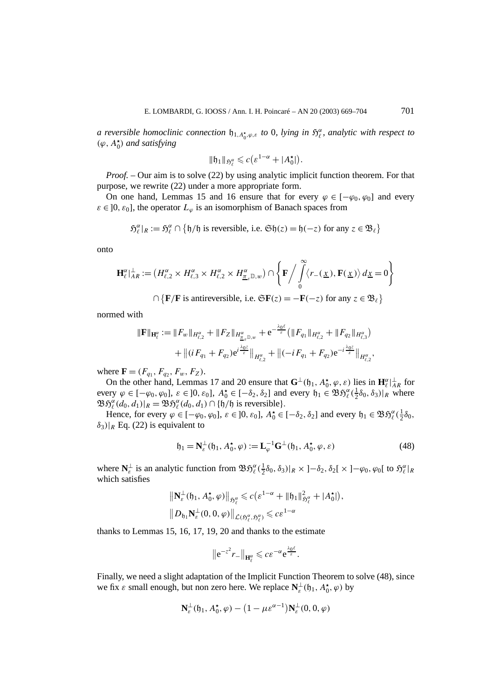*a reversible homoclinic connection*  $\natural_{1, A_0^{\star}, \varphi, \varepsilon}$  *to* 0*, lying in*  $\mathfrak{H}_{\varepsilon}^{\alpha}$ *, analytic with respect to (ϕ, AI* <sup>0</sup>*) and satisfying*

$$
\|\mathfrak{h}_1\|_{\mathfrak{H}^{\alpha}_{\ell}} \leqslant c\big(\varepsilon^{1-\alpha}+|A_0^{\star}|\big).
$$

*Proof. –* Our aim is to solve (22) by using analytic implicit function theorem. For that purpose, we rewrite (22) under a more appropriate form.

On one hand, Lemmas 15 and 16 ensure that for every  $\varphi \in [-\varphi_0, \varphi_0]$  and every  $\varepsilon \in ]0, \varepsilon_0]$ , the operator  $L_{\varphi}$  is an isomorphism of Banach spaces from

$$
\mathfrak{H}^{\alpha}_{\ell}|_{R} := \mathfrak{H}^{\alpha}_{\ell} \cap \{ \mathfrak{h}/\mathfrak{h} \text{ is reversible, i.e. } \mathfrak{Sh}(z) = \mathfrak{h}(-z) \text{ for any } z \in \mathfrak{B}_{\ell} \}
$$

onto

$$
\mathbf{H}_{\ell}^{\alpha} \rvert_{AR}^{\perp} := \left( H_{\ell,2}^{\alpha} \times H_{\ell,3}^{\alpha} \times H_{\ell,2}^{\alpha} \times H_{\underline{\pi}_{\ell},\mathbb{D},w}^{\alpha} \right) \cap \left\{ \mathbf{F} \Big/ \int_{0}^{\infty} \langle r_{-}(\underline{x}), \mathbf{F}(\underline{x}) \rangle \, d\underline{x} = 0 \right\}
$$

 $\cap$  {**F***/***F** is antireversible, i.e.  $\mathfrak{S}$ **F**(*z*) = −**F**(−*z*) for any *z* ∈  $\mathfrak{B}_{\ell}$ }

normed with

$$
\begin{aligned} \|\mathbf{F}\|_{\mathbf{H}_{\ell}^{\alpha}} &:= \|F_w\|_{H_{\ell,2}^{\alpha}} + \|F_Z\|_{H_{\underline{\alpha}_{\varepsilon}}^{\alpha} \mathbb{D}, w} + \mathrm{e}^{-\frac{\lambda_0 \ell}{\varepsilon}} \big( \|F_{q_1}\|_{H_{\ell,2}^{\alpha}} + \|F_{q_2}\|_{H_{\ell,3}^{\alpha}} \big) \\ &+ \big\| (i F_{q_1} + F_{q_2}) \mathrm{e}^{i \frac{\lambda_0 \varepsilon}{\varepsilon}} \big\|_{H_{\ell,2}^{\alpha}} + \big\| (-i F_{q_1} + F_{q_2}) \mathrm{e}^{-i \frac{\lambda_0 \varepsilon}{\varepsilon}} \big\|_{H_{\ell,2}^{\alpha}}, \end{aligned}
$$

where  $\mathbf{F} = (F_{q_1}, F_{q_2}, F_w, F_z)$ .

On the other hand, Lemmas 17 and 20 ensure that  $\mathbf{G}^{\perp}(\mathfrak{h}_1, A_0^{\star}, \varphi, \varepsilon)$  lies in  $\mathbf{H}_{\ell}^{\alpha}|_{AR}^{\perp}$  for every  $\varphi \in [-\varphi_0, \varphi_0]$ ,  $\varepsilon \in [0, \varepsilon_0]$ ,  $A_0^{\star} \in [-\delta_2, \delta_2]$  and every  $\mathfrak{h}_1 \in \mathfrak{B} \mathfrak{H}_{\ell}^{\alpha}(\frac{1}{2}\delta_0, \delta_3)|_R$  where  $\mathfrak{B}\mathfrak{H}_{\ell}^{\alpha}(d_0, d_1)|_R = \mathfrak{B}\mathfrak{H}_{\ell}^{\alpha}(d_0, d_1) \cap \{\mathfrak{h}/\mathfrak{h} \text{ is reversible}\}.$ 

Hence, for every  $\varphi \in [-\varphi_0, \varphi_0], \, \varepsilon \in ]0, \varepsilon_0], A_0^{\star} \in [-\delta_2, \delta_2]$  and every  $\mathfrak{h}_1 \in \mathfrak{B} \mathfrak{H}_{\ell}^{\alpha}(\frac{1}{2}\delta_0, \mathcal{S}_{\ell}^{\alpha})$  $\delta_3$ )| $_R$  Eq. (22) is equivalent to

$$
\mathfrak{h}_1 = \mathbf{N}_{\varepsilon}^{\perp}(\mathfrak{h}_1, A_0^{\star}, \varphi) := \mathbf{L}_{\varphi}^{-1} \mathbf{G}^{\perp}(\mathfrak{h}_1, A_0^{\star}, \varphi, \varepsilon)
$$
(48)

where  $\mathbf{N}_{\varepsilon}^{\perp}$  is an analytic function from  $\mathfrak{B}\mathfrak{H}_{\varepsilon}^{\alpha}(\frac{1}{2}\delta_0,\delta_3)|_R \times ]-\delta_2, \delta_2[ \times ]-\varphi_0, \varphi_0[$  to  $\mathfrak{H}_{\varepsilon}^{\alpha}|_R$ which satisfies

$$
\begin{aligned} \left\| \mathbf{N}_{\varepsilon}^{\perp}(\mathfrak{h}_{1}, A_{0}^{\star}, \varphi) \right\|_{\mathfrak{H}_{\varepsilon}^{\alpha}} &\leqslant c \left( \varepsilon^{1-\alpha} + \|\mathfrak{h}_{1}\|_{\mathfrak{H}_{\varepsilon}^{\alpha}}^{2} + |A_{0}^{\star}| \right), \\ \left\| D_{\mathfrak{h}_{1}} \mathbf{N}_{\varepsilon}^{\perp}(0, 0, \varphi) \right\|_{\mathcal{L}(\mathfrak{H}_{\varepsilon}^{\alpha}, \mathfrak{H}_{\varepsilon}^{\alpha})} &\leqslant c \varepsilon^{1-\alpha} \end{aligned}
$$

thanks to Lemmas 15, 16, 17, 19, 20 and thanks to the estimate

$$
\left\|e^{-z^2}r_-\right\|_{\mathbf{H}^{\alpha}_{\ell}}\leqslant c\varepsilon^{-\alpha}e^{\frac{\lambda_0\ell}{\varepsilon}}.
$$

Finally, we need a slight adaptation of the Implicit Function Theorem to solve (48), since we fix *ε* small enough, but non zero here. We replace  $\mathbf{N}_{\varepsilon}^{\perp}(\mathfrak{h}_1, A_0^{\star}, \varphi)$  by

$$
\mathbf{N}_{\varepsilon}^{\perp}(\mathfrak{h}_1, A_0^{\star}, \varphi) - (1 - \mu \varepsilon^{\alpha - 1}) \mathbf{N}_{\varepsilon}^{\perp}(0, 0, \varphi)
$$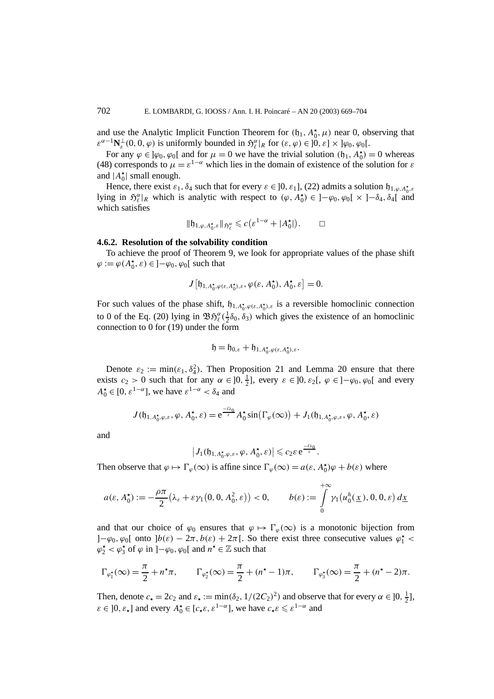and use the Analytic Implicit Function Theorem for  $(f_1, A_0^{\star}, \mu)$  near 0, observing that  $\epsilon^{a-1} \mathbf{N}_{\epsilon}^{\perp}(0, 0, \varphi)$  is uniformly bounded in  $\mathfrak{H}_{\ell}^{\alpha}|_{R}$  for  $(\epsilon, \varphi) \in ]0, \epsilon] \times ]\varphi_{0}, \varphi_{0}[$ .

For any  $\varphi \in ]\varphi_0, \varphi_0[$  and for  $\mu = 0$  we have the trivial solution  $(\mathfrak{h}_1, A_0^{\star}) = 0$  whereas (48) corresponds to  $\mu = \varepsilon^{1-\alpha}$  which lies in the domain of existence of the solution for  $\varepsilon$ and  $|A_0^{\star}|$  small enough.

Hence, there exist  $\varepsilon_1$ ,  $\delta_4$  such that for every  $\varepsilon \in ]0, \varepsilon_1]$ , (22) admits a solution  $\mathfrak{h}_{1,\varphi,A_0^{\star},\varepsilon}$ lying in  $\mathfrak{H}_{\ell}^{\alpha}|_R$  which is analytic with respect to  $(\varphi, A_0^{\star}) \in ]-\varphi_0, \varphi_0[ \times ]-\delta_4, \delta_4[$  and which satisfies

$$
\|\mathfrak{h}_{1,\varphi,A_0^{\star},\varepsilon}\|_{\mathfrak{H}_{\ell}^{\alpha}} \leqslant c\big(\varepsilon^{1-\alpha}+|A_0^{\star}|\big). \qquad \Box
$$

# **4.6.2. Resolution of the solvability condition**

To achieve the proof of Theorem 9, we look for appropriate values of the phase shift  $\varphi := \varphi(A_0^{\star}, \varepsilon) \in ]-\varphi_0, \varphi_0[$  such that

$$
J\left[\mathfrak{h}_{1,A_0^{\star},\varphi(\varepsilon,A_0^{\star}),\varepsilon},\varphi(\varepsilon,A_0^{\star}),A_0^{\star},\varepsilon\right]=0.
$$

For such values of the phase shift,  $\mathfrak{h}_{1,A_0^{\star},\varphi(\varepsilon,A_0^{\star}),\varepsilon}$  is a reversible homoclinic connection to 0 of the Eq. (20) lying in  $\mathfrak{BS}_\ell^{\alpha}(\frac{1}{2}\delta_0, \delta_3)$  which gives the existence of an homoclinic connection to 0 for (19) under the form

$$
\mathfrak{h}=\mathfrak{h}_{0,\varepsilon}+\mathfrak{h}_{1,A_0^\star,\varphi(\varepsilon,A_0^\star),\varepsilon}.
$$

Denote  $\varepsilon_2 := \min(\varepsilon_1, \delta_4^2)$ . Then Proposition 21 and Lemma 20 ensure that there exists  $c_2 > 0$  such that for any  $\alpha \in ]0, \frac{1}{2}]$ , every  $\varepsilon \in ]0, \varepsilon_2[$ ,  $\varphi \in ]-\varphi_0, \varphi_0[$  and every  $A_0^{\star} \in [0, \varepsilon^{1-\alpha}]$ , we have  $\varepsilon^{1-\alpha} < \delta_4$  and

$$
J(\mathfrak{h}_{1,A_0^{\star},\varphi,\varepsilon},\varphi,A_0^{\star},\varepsilon) = e^{\frac{-\ell\lambda_0}{\varepsilon}} A_0^{\star} \sin(\Gamma_{\varphi}(\infty)) + J_1(\mathfrak{h}_{1,A_0^{\star},\varphi,\varepsilon},\varphi,A_0^{\star},\varepsilon)
$$

and

$$
\left|J_1(\mathfrak{h}_{1,A_0^\star,\varphi,\varepsilon},\varphi,A_0^\star,\varepsilon)\right|\leqslant c_2\varepsilon\,\mathrm{e}^{\frac{-\ell\lambda_0}{\varepsilon}}.
$$

Then observe that  $\varphi \mapsto \Gamma_{\varphi}(\infty)$  is affine since  $\Gamma_{\varphi}(\infty) = a(\varepsilon, A_0^{\star})\varphi + b(\varepsilon)$  where

$$
a(\varepsilon, A_0^{\star}) := -\frac{\rho \pi}{2} \big( \lambda_{\varepsilon} + \varepsilon \gamma_1(0, 0, A_0^2, \varepsilon) \big) < 0, \qquad b(\varepsilon) := \int_0^{+\infty} \gamma_1 \big( u_0^h(\underline{x}), 0, 0, \varepsilon \big) \, d\underline{x}
$$

and that our choice of  $\varphi_0$  ensures that  $\varphi \mapsto \Gamma_\varphi(\infty)$  is a monotonic bijection from ]− $\varphi_0$ ,  $\varphi_0$ [ onto ]*b*(*ε*) − 2*π*, *b*(*ε*) + 2*π*[. So there exist three consecutive values  $\varphi_1^*$  <  $\varphi_2^* < \varphi_3^*$  of  $\varphi$  in ]– $\varphi_0$ ,  $\varphi_0$ [ and  $n^* \in \mathbb{Z}$  such that

$$
\Gamma_{\varphi_1^*}(\infty) = \frac{\pi}{2} + n^{\star}\pi, \qquad \Gamma_{\varphi_2^*}(\infty) = \frac{\pi}{2} + (n^{\star} - 1)\pi, \qquad \Gamma_{\varphi_3^*}(\infty) = \frac{\pi}{2} + (n^{\star} - 2)\pi.
$$

Then, denote  $c_{\star} = 2c_2$  and  $\varepsilon_{\star} := \min(\delta_2, 1/(2C_2)^2)$  and observe that for every  $\alpha \in ]0, \frac{1}{2}]$ ,  $\varepsilon \in ]0, \varepsilon_{\star}]$  and every  $A_0^{\star} \in [c_{\star} \varepsilon, \varepsilon^{1-\alpha}]$ , we have  $c_{\star} \varepsilon \leq \varepsilon^{1-\alpha}$  and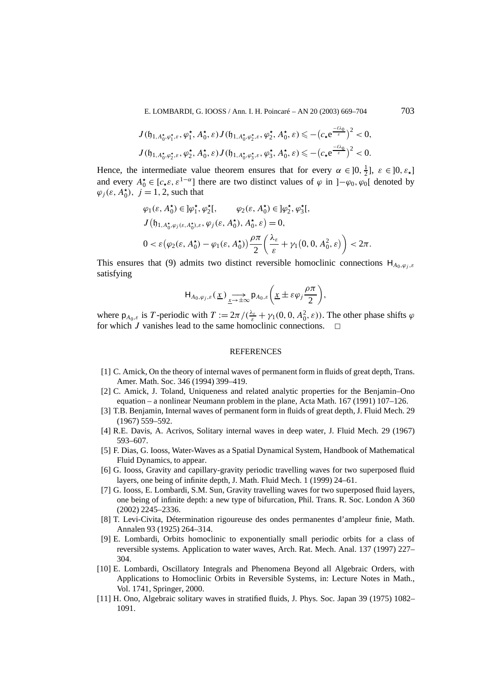E. LOMBARDI, G. IOOSS / Ann. I. H. Poincaré – AN 20 (2003) 669–704 703

$$
J(\mathfrak{h}_{1,A_0^{\star},\varphi_1^{\star},\varepsilon},\varphi_1^{\star},A_0^{\star},\varepsilon)J(\mathfrak{h}_{1,A_0^{\star},\varphi_2^{\star},\varepsilon},\varphi_2^{\star},A_0^{\star},\varepsilon)\leqslant-(c_{\star}e^{\frac{-\ell\lambda_0}{\varepsilon}})^2<0,
$$
  

$$
J(\mathfrak{h}_{1,A_0^{\star},\varphi_2^{\star},\varepsilon},\varphi_2^{\star},A_0^{\star},\varepsilon)J(\mathfrak{h}_{1,A_0^{\star},\varphi_3^{\star},\varepsilon},\varphi_3^{\star},A_0^{\star},\varepsilon)\leqslant-(c_{\star}e^{\frac{-\ell\lambda_0}{\varepsilon}})^2<0.
$$

Hence, the intermediate value theorem ensures that for every  $\alpha \in ]0, \frac{1}{2}]$ ,  $\varepsilon \in ]0, \varepsilon_{\star}]$ and every  $A_0^* \in [c_*, \varepsilon^{1-\alpha}]$  there are two distinct values of  $\varphi$  in  $]-\varphi_0, \varphi_0[$  denoted by  $\varphi_j(\varepsilon, A_0^{\star}), j = 1, 2$ , such that

$$
\varphi_1(\varepsilon, A_0^{\star}) \in ]\varphi_1^{\star}, \varphi_2^{\star}[, \varphi_2(\varepsilon, A_0^{\star}) \in ]\varphi_2^{\star}, \varphi_3^{\star}[,
$$
  

$$
J(\mathfrak{h}_{1, A_0^{\star}, \varphi_j(\varepsilon, A_0^{\star}), \varepsilon}, \varphi_j(\varepsilon, A_0^{\star}), A_0^{\star}, \varepsilon) = 0,
$$
  

$$
0 < \varepsilon (\varphi_2(\varepsilon, A_0^{\star}) - \varphi_1(\varepsilon, A_0^{\star})) \frac{\rho \pi}{2} \left( \frac{\lambda_{\varepsilon}}{\varepsilon} + \gamma_1(0, 0, A_0^2, \varepsilon) \right) < 2\pi.
$$

This ensures that (9) admits two distinct reversible homoclinic connections  $H_{A_0,\omega_j,\varepsilon}$ satisfying

$$
\mathsf{H}_{A_0,\varphi_j,\varepsilon}(\underline{x})\underset{\underline{x}\to\pm\infty}{\longrightarrow} \mathsf{p}_{A_0,\varepsilon}\bigg(\underline{x}\pm\varepsilon\varphi_j\frac{\rho\pi}{2}\bigg),\,
$$

where  $p_{A_0,\varepsilon}$  is *T*-periodic with  $T := 2\pi/(\frac{\lambda_{\varepsilon}}{\varepsilon} + \gamma_1(0, 0, A_0^2, \varepsilon))$ . The other phase shifts  $\varphi$ for which *J* vanishes lead to the same homoclinic connections.  $\Box$ 

## **REFERENCES**

- [1] C. Amick, On the theory of internal waves of permanent form in fluids of great depth, Trans. Amer. Math. Soc. 346 (1994) 399–419.
- [2] C. Amick, J. Toland, Uniqueness and related analytic properties for the Benjamin–Ono equation – a nonlinear Neumann problem in the plane, Acta Math. 167 (1991) 107–126.
- [3] T.B. Benjamin, Internal waves of permanent form in fluids of great depth, J. Fluid Mech. 29 (1967) 559–592.
- [4] R.E. Davis, A. Acrivos, Solitary internal waves in deep water, J. Fluid Mech. 29 (1967) 593–607.
- [5] F. Dias, G. Iooss, Water-Waves as a Spatial Dynamical System, Handbook of Mathematical Fluid Dynamics, to appear.
- [6] G. Iooss, Gravity and capillary-gravity periodic travelling waves for two superposed fluid layers, one being of infinite depth, J. Math. Fluid Mech. 1 (1999) 24–61.
- [7] G. Iooss, E. Lombardi, S.M. Sun, Gravity travelling waves for two superposed fluid layers, one being of infinite depth: a new type of bifurcation, Phil. Trans. R. Soc. London A 360 (2002) 2245–2336.
- [8] T. Levi-Civita, Détermination rigoureuse des ondes permanentes d'ampleur finie, Math. Annalen 93 (1925) 264–314.
- [9] E. Lombardi, Orbits homoclinic to exponentially small periodic orbits for a class of reversible systems. Application to water waves, Arch. Rat. Mech. Anal. 137 (1997) 227– 304.
- [10] E. Lombardi, Oscillatory Integrals and Phenomena Beyond all Algebraic Orders, with Applications to Homoclinic Orbits in Reversible Systems, in: Lecture Notes in Math., Vol. 1741, Springer, 2000.
- [11] H. Ono, Algebraic solitary waves in stratified fluids, J. Phys. Soc. Japan 39 (1975) 1082– 1091.